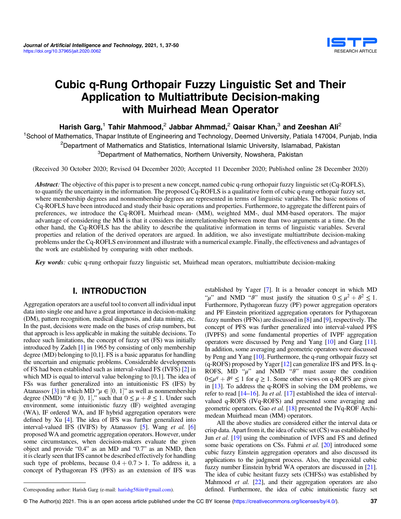

# Cubic q-Rung Orthopair Fuzzy Linguistic Set and Their Application to Multiattribute Decision-making with Muirhead Mean Operator

Harish Garg,<sup>1</sup> Tahir Mahmood,<sup>2</sup> Jabbar Ahmmad,<sup>2</sup> Qaisar Khan,<sup>3</sup> and Zeeshan Ali<sup>2</sup>

<sup>1</sup>School of Mathematics, Thapar Institute of Engineering and Technology, Deemed University, Patiala 147004, Punjab, India <sup>2</sup>Department of Mathematics and Statistics, International Islamic University, Islamabad, Pakistan <sup>3</sup>Department of Mathematics, Northern University, Nowshera, Pakistan

(Received 30 October 2020; Revised 04 December 2020; Accepted 11 December 2020; Published online 28 December 2020)

Abstract: The objective of this paper is to present a new concept, named cubic q-rung orthopair fuzzy linguistic set (Cq-ROFLS), to quantify the uncertainty in the information. The proposed Cq-ROFLS is a qualitative form of cubic q-rung orthopair fuzzy set, where membership degrees and nonmembership degrees are represented in terms of linguistic variables. The basic notions of Cq-ROFLS have been introduced and study their basic operations and properties. Furthermore, to aggregate the different pairs of preferences, we introduce the Cq-ROFL Muirhead mean- (MM), weighted MM-, dual MM-based operators. The major advantage of considering the MM is that it considers the interrelationship between more than two arguments at a time. On the other hand, the Cq-ROFLS has the ability to describe the qualitative information in terms of linguistic variables. Several properties and relation of the derived operators are argued. In addition, we also investigate multiattribute decision-making problems under the Cq-ROFLS environment and illustrate with a numerical example. Finally, the effectiveness and advantages of the work are established by comparing with other methods.

Key words: cubic q-rung orthopair fuzzy linguistic set, Muirhead mean operators, multiattribute decision-making

# I. INTRODUCTION

Aggregation operators are a useful tool to convert all individual input data into single one and have a great importance in decision-making (DM), pattern recognition, medical diagnosis, and data mining, etc. In the past, decisions were made on the bases of crisp numbers, but that approach is less applicable in making the suitable decisions. To reduce such limitations, the concept of fuzzy set (FS) was initially introduced by Zadeh [[1\]](#page-13-0) in 1965 by consisting of only membership degree (MD) belonging to [0,1]. FS is a basic apparatus for handling the uncertain and enigmatic problems. Considerable developments of FS had been established such as interval-valued FS (IVFS) [[2\]](#page-13-0) in which MD is equal to interval value belonging to [0,1]. The idea of FSs was further generalized into an intuitionistic FS (IFS) by Atanassov [\[3\]](#page-13-0) in which MD " $\mu \in [0, 1]$ " as well as nonmembership degree (NMD) " $\theta \in [0, 1]$ " such that  $0 \le \mu + \theta \le 1$  Under such degree (NMD) " $\vartheta \in [0, 1]$ ," such that  $0 \le \mu + \vartheta \le 1$ . Under such environment some intuitionistic fuzzy (IF) weighted averaging environment, some intuitionistic fuzzy (IF) weighted averaging (WA), IF ordered WA, and IF hybrid aggregation operators were defined by Xu [[4\]](#page-13-0). The idea of IFS was further generalized into interval-valued IFS (IVIFS) by Atanassov [\[5](#page-13-0)]. Wang *et al.* [[6\]](#page-13-0) proposed WA and geometric aggregation operators. However, under some circumstances, when decision-makers evaluate the given object and provide "0.4" as an MD and "0.7" as an NMD, then it is clearly seen that IFS cannot be described effectively for handling such type of problems, because  $0.4 + 0.7 > 1$ . To address it, a concept of Pythagorean FS (PFS) as an extension of IFS was established by Yager [\[7\]](#page-13-0). It is a broader concept in which MD " $\mu$ " and NMD " $\theta$ " must justify the situation  $0 \le \mu^2 + \theta^2 \le 1$ . Furthermore, Pythagorean fuzzy (PF) power aggregation operators and PF Einstein prioritized aggregation operators for Pythagorean fuzzy numbers (PFNs) are discussed in [[8\]](#page-13-0) and [\[9](#page-13-0)], respectively. The concept of PFS was further generalized into interval-valued PFS (IVPFS) and some fundamental properties of IVPF aggregation operators were discussed by Peng and Yang [\[10](#page-13-0)] and Garg [[11](#page-13-0)]. In addition, some averaging and geometric operators were discussed by Peng and Yang [\[10](#page-13-0)]. Furthermore, the q-rung orthopair fuzzy set (q-ROFS) proposed by Yager [[12](#page-13-0)] can generalize IFS and PFS. In q-ROFS,  $MD$  " $\mu$ " and NMD " $\vartheta$ " must assure the condition  $0 \leq \mu^q + \vartheta^q \leq 1$  for  $q \geq 1$ . Some other views on q-ROFS are given in [\[13\]](#page-13-0). To address the q-ROFS in solving the DM problems, we refer to read  $[14–16]$  $[14–16]$  $[14–16]$  $[14–16]$ . Ju *et al.* [\[17\]](#page-13-0) established the idea of intervalvalued q-ROFS (IVq-ROFS) and presented some averaging and geometric operators. Gao et al. [\[18](#page-13-0)] presented the IVq-ROF Archimedean Muirhead mean (MM) operators.

All the above studies are considered either the interval data or crisp data. Apart from it, the idea of cubic set (CS) was established by Jun *et al.* [\[19\]](#page-13-0) using the combination of IVFS and FS and defined some basic operations on CSs. Fahmi et al. [\[20\]](#page-13-0) introduced some cubic fuzzy Einstein aggregation operators and also discussed its applications to the judgment process. Also, the trapezoidal cubic fuzzy number Einstein hybrid WA operators are discussed in [[21](#page-13-0)]. The idea of cubic hesitant fuzzy sets (CHFSs) was established by Mahmood *et al.* [\[22](#page-13-0)], and their aggregation operators are also Corresponding author: Harish Garg (e-mail: [harishg58iitr@gmail.com](mailto:harishg58iitr@gmail.com)). defined. Furthermore, the idea of cubic intuitionistic fuzzy set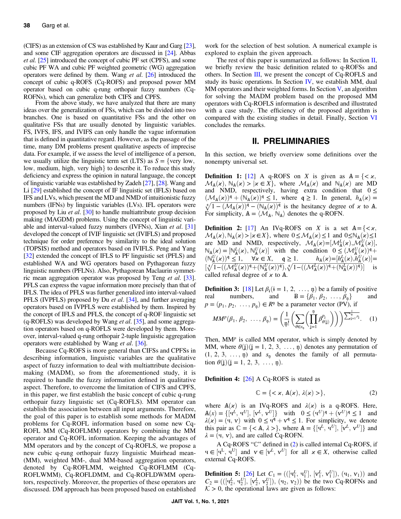(CIFS) as an extension of CS was established by Kaur and Garg [[23](#page-13-0)], and some CIF aggregation operators are discussed in [\[24\]](#page-13-0). Abbas et al. [\[25\]](#page-13-0) introduced the concept of cubic PF set (CPFS), and some cubic PF WA and cubic PF weighted geometric (WG) aggregation operators were defined by them. Wang et al. [\[26\]](#page-13-0) introduced the concept of cubic q-ROFS (Cq-ROFS) and proposed power MM operator based on cubic q-rung orthopair fuzzy numbers (Cq-ROFNs), which can generalize both CIFS and CPFS.

From the above study, we have analyzed that there are many ideas over the generalization of FSs, which can be divided into two branches. One is based on quantitative FSs and the other on qualitative FSs that are usually denoted by linguistic variables. FS, IVFS, IFS, and IVIFS can only handle the vague information that is defined in quantitative regard. However, as the passage of the time, many DM problems present qualitative aspects of imprecise data. For example, if we assess the level of intelligence of a person, we usually utilize the linguistic term set (LTS) as  $S = \{ \text{very low}, \}$ low, medium, high, very high} to describe it. To reduce this study deficiency and express the opinion in natural language, the concept of linguistic variable was established by Zadeh [\[27\]](#page-13-0), [[28\]](#page-13-0). Wang and Li [[29](#page-13-0)] established the concept of IF linguistic set (IFLS) based on IFS and LVs, which present the MD and NMD of intuitionistic fuzzy numbers (IFNs) by linguistic variables (LVs). IFL operators were proposed by Liu et al. [\[30\]](#page-13-0) to handle multiattribute group decision making (MAGDM) problems. Using the concept of linguistic vari-able and interval-valued fuzzy numbers (IVFNs), Xian et al. [\[31\]](#page-13-0) developed the concept of IVIF linguistic set (IVIFLS) and proposed technique for order preference by similarity to the ideal solution (TOPSIS) method and operators based on IVIFLS. Peng and Yang [\[32\]](#page-13-0) extended the concept of IFLS to PF linguistic set (PFLS) and established WA and WG operators based on Pythagorean fuzzy linguistic numbers (PFLNs). Also, Pythagorean Maclaurin symmet-ric mean aggregation operator was proposed by Teng et al. [[33](#page-13-0)]. PFLS can express the vague information more precisely than that of IFLS. The idea of PFLS was further generalized into interval-valued PFLS (IVPFLS) proposed by Du et al. [\[34\]](#page-13-0), and further averaging operators based on IVPFLS were established by them. Inspired by the concept of IFLS and PFLS, the concept of q-ROF linguistic set  $(q-ROFLS)$  was developed by Wang *et al.* [\[35](#page-13-0)], and some aggregation operators based on q-ROFLS were developed by them. Moreover, interval-valued q-rung orthopair 2-tuple linguistic aggregation operators were established by Wang et al. [[36\]](#page-13-0).

Because Cq-ROFS is more general than CIFSs and CPFSs in describing information, linguistic variables are the qualitative aspect of fuzzy information to deal with multiattribute decisionmaking (MADM), so from the aforementioned study, it is required to handle the fuzzy information defined in qualitative aspect. Therefore, to overcome the limitation of CIFS and CPFS, in this paper, we first establish the basic concept of cubic q-rung orthopair fuzzy linguistic set (Cq-ROFLS). MM operator can establish the association between all input arguments. Therefore, the goal of this paper is to establish some methods for MADM problems for Cq-ROFL information based on some new Cq-ROFL MM (Cq-ROFLMM) operators by combining the MM operator and Cq-ROFL information. Keeping the advantages of MM operators and by the concept of Cq-ROFLS, we propose a new cubic q-rung orthopair fuzzy linguistic Muirhead mean- (MM), weighted MM-, dual MM-based aggregation operators, denoted by Cq-ROFLMM, weighted Cq-ROFLMM (Cq-ROFLWMM), Cq-ROFLDMM, and Cq-ROFLDWMM operators, respectively. Moreover, the properties of these operators are discussed. DM approach has been proposed based on established work for the selection of best solution. A numerical example is explored to explain the given approach.

The rest of this paper is summarized as follows: In Section  $II$ , we briefly review the basic definition related to q-ROFSs and others. In Section [III,](#page-2-0) we present the concept of Cq-ROFLS and study its basic operations. In Section  $IV$ , we establish MM, dual MM operators and their weighted forms. In Section  $V$ , an algorithm for solving the MADM problem based on the proposed MM operators with Cq-ROFLS information is described and illustrated with a case study. The efficiency of the proposed algorithm is compared with the existing studies in detail. Finally, Section [VI](#page-12-0) concludes the remarks.

# II. PRELIMINARIES

In this section, we briefly overview some definitions over the nonempty universal set.

**Definition 1:** [\[12](#page-13-0)] A q-ROFS on X is given as  $A = \{ \langle x, \rangle \}$  $\mathcal{M}_{A}(\varkappa)$ ,  $\mathbb{N}_{A}(\varkappa) > |\varkappa \in X\}$ , where  $\mathcal{M}_{A}(\varkappa)$  and  $\mathbb{N}_{A}(\varkappa)$  are MD and NMD, respectively, having extra condition that  $0 \le$  $(\mathcal{M}_{A}(\boldsymbol{\chi}))^{\mathfrak{q}} + (\mathbb{N}_{A}(\boldsymbol{\chi}))^{\mathfrak{q}} \leq 1$ , where  $\mathfrak{q} \geq 1$ . In general,  $h_{A}(\boldsymbol{\chi}) =$  $\sqrt[q]{1 - (\mathcal{M}_A(\boldsymbol{x}))^q - (\mathbb{N}_A(\boldsymbol{x}))^q}$  is the hesitancy degree of x to A. For simplicity,  $A = \langle \mathcal{M}_A, \mathbb{N}_A \rangle$  denotes the q-ROFN.

**Definition 2:** [[17\]](#page-13-0) An IVq-ROFS on X is a set  $A = \{ \langle x, \rangle \}$  $\mathcal{M}_{\mathbb{A}}(\mathsf{x}), \mathbb{N}_{\mathbb{A}}(\mathsf{x}) > |\mathsf{x} \in X\}$ , where  $0 \leq \mathcal{M}_{\mathbb{A}}(\mathsf{x}) \leq 1$  and  $0 \leq \mathbb{N}_{\mathbb{A}}(\mathsf{x}) \leq 1$ are MD and NMD, respectively,  $\mathcal{M}_{A}(\mathbf{x}) = [\mathcal{M}_{A}^{L}(\mathbf{x}), \mathcal{M}_{A}^{U}(\mathbf{x})],$ <br> $\mathbb{N}_{A}(\mathbf{x}) = [\mathbb{N}_{A}^{L}(\mathbf{x}) \mathbb{N}_{B}^{U}(\mathbf{x})]$  with the condition  $0 \leq (M_{A}^{U}(\mathbf{x}))^{d} +$  $\mathbb{N}_{\mathbb{A}}(x) = [\mathbb{N}_{\mathbb{A}}^{L}(x), \mathbb{N}_{\mathbb{A}}^{U}(x)]$  with the condition  $0 \leq (\mathcal{M}_{\mathbb{A}}^{U}(x))^q +$ <br>  $(\mathbb{N}_{\mathbb{A}}^{U}(x))^q \leq 1$   $\forall x \in X$   $\mathfrak{a} > 1$   $h(x) = [h^L(x) h^U(x)] (N_A^U(x))^q \leq 1, \quad \forall x \in X, \quad q \geq 1, \qquad h_A(x) = [h_A^L(x), h_A^U(x)] =$  $\left[\sqrt[4]{1-((\mathcal{M}_{\mathbf{A}}^U(\mathbf{x}))^4+(\mathbb{N}_{\mathbf{A}}^U(\mathbf{x}))^4)}, \sqrt[4]{1-((\mathcal{M}_{\mathbf{A}}^L(\mathbf{x}))^4+(\mathbb{N}_{\mathbf{A}}^L(\mathbf{x}))^4)}\right]$  is called refusal degree of  $\mathbf{x}$  to  $\mathbf{A}$ called refusal degree of  $x$  to  $A$ .

**Definition 3:** [[18\]](#page-13-0) Let  $\beta_i$  ( $i = 1, 2, ..., n$ ) be a family of positive real numbers, and  $B = \{\beta_1, \beta_2, ..., \beta_n\}$  and numbers, and  $B = {\beta_1, \beta_2, ..., \beta_n}$  $p = (p_1, p_2, \ldots, p_n) \in R^n$  be a parameter vector (PV), if

$$
MM^p(\beta_1, \beta_2, \ldots, \beta_{\mathfrak{p}}) = \left(\frac{1}{\mathfrak{p}!} \left(\sum_{\theta \in s_{\mathfrak{q}}} \left(\prod_{j=1}^{\mathfrak{p}} \beta_{\theta(j)}^{p_j}\right)\right)\right) \sum_{j=1}^{\frac{1}{\mathfrak{p}}}
$$
 (1)

Then,  $MM^p$  is called MM operator, which is simply denoted by MM, where  $\theta(i)$  $(i = 1, 2, 3, ..., n)$  denotes any permutation of  $(1, 2, 3, \ldots, n)$  and  $s_n$  denotes the family of all permutation  $\theta(j)(j = 1, 2, 3, ..., n)$ .

Definition 4: [[26\]](#page-13-0) A Cq-ROFS is stated as

$$
\mathbb{C} = \{ \langle x, \mathbb{A}(x), \lambda(x) \rangle \},\tag{2}
$$

where  $A(x)$  is an IVq-ROFS and  $\lambda(x)$  is a q-ROFS. Here,  $\mathbf{A}(x) = \{[\mathbf{q}^L, \mathbf{q}^U], [\mathbf{v}^L, \mathbf{v}^U]\}$  with  $0 \leq (\mathbf{q}^U)^{\mathfrak{q}} + (\mathbf{v}^U)^{\mathfrak{q}} \leq 1$  and  $\lambda(x) = (\mathbf{q} \ \mathbf{v})$  with  $0 \leq \mathbf{q}^{\mathfrak{q}} + \mathbf{v}^{\mathfrak{q}} \leq 1$  For simplicity we denote  $\lambda(x) = (4, v)$  with  $0 \leq 4^q + v^q \leq 1$ . For simplicity, we denote this pair as  $\mathbb{C} = \{ \langle \mathbb{A}, \lambda \rangle \}$ , where  $\mathbb{A} = \{ [\mathbf{q}^L, \mathbf{q}^U], [\mathbf{v}^L, \mathbf{v}^U] \}$  and  $\lambda = (\mathbf{q}, \mathbf{v})$  and are called Co-ROFN  $\lambda = (4, v)$ , and are called Cq-ROFN.

A Cq-ROFS "C" defined in (2) is called internal Cq-ROFS, if ч ∈ [ч<sup>L</sup>, ч<sup>U</sup>] and  $v \in [v^L, v^U]$  for all  $x \in X$ , otherwise called external Co-ROES external Cq-ROFS.

**Definition 5:** [\[26](#page-13-0)] Let  $C_1 = (([q_1^L, q_1^U], [v_1^L, v_1^U]), (q_1, v_1))$  and  $C_2 = (([q_2^L, q_2^U], (q_2, v_2))$  be the two  $C_3$ -ROENs and **Definition** 5. [20] Ect  $C_1 = (([4_1, 4_1], [9_1, 9_1]), (4_1, 9_1])$ , and<br>  $C_2 = (([4_2^L, 4_2^U], [9_2^L, 9_2^U]), (4_2, 9_2))$  be the two Cq-ROFNs and<br>  $K > 0$  the operational laws are given as follows:  $\mathcal{K} > 0$ , the operational laws are given as follows: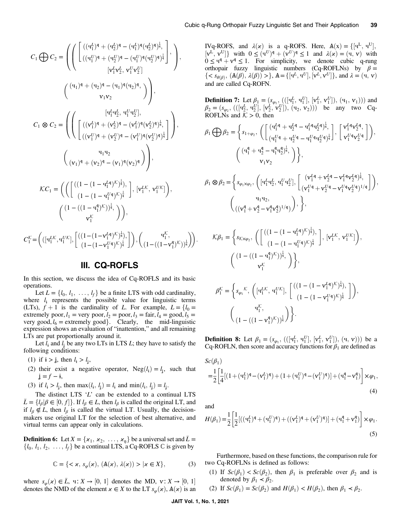<span id="page-2-0"></span>
$$
C_{1} \bigoplus C_{2} = \left( \left( \begin{bmatrix} ((\mathbf{q}_{1}^{L})^{\mathbf{q}} + (\mathbf{q}_{2}^{L})^{\mathbf{q}} - (\mathbf{q}_{1}^{L})^{\mathbf{q}} (\mathbf{q}_{2}^{L})^{\mathbf{q}} \right)_{\mathbf{q}}^{1} \\ ((\mathbf{q}_{1}^{U})^{\mathbf{q}} + (\mathbf{q}_{2}^{U})^{\mathbf{q}} - (\mathbf{q}_{1}^{U})^{\mathbf{q}} (\mathbf{q}_{2}^{U})^{\mathbf{q}} \right)_{\mathbf{q}}^{1} \\ [\mathbf{v}_{1}^{L} \mathbf{v}_{2}^{L}, \mathbf{v}_{1}^{U} \mathbf{v}_{2}^{U}] \end{bmatrix}, \qquad \left( \begin{array}{c} (\mathbf{q}_{1})^{\mathbf{q}} + (\mathbf{q}_{2})^{\mathbf{q}} - (\mathbf{q}_{1})^{\mathbf{q}} (\mathbf{q}_{2})^{\mathbf{q}} \\ (\mathbf{v}_{1}^{U} \mathbf{v}_{2}^{L}, \mathbf{v}_{1}^{U} \mathbf{v}_{2}^{U}) \end{array} \right),
$$
\n
$$
C_{1} \otimes C_{2} = \left( \left( \begin{array}{ccc} [(\mathbf{v}_{1}^{L})^{\mathbf{q}} + (\mathbf{v}_{2}^{L})^{\mathbf{q}} - (\mathbf{v}_{1}^{L})^{\mathbf{q}} (\mathbf{v}_{2}^{L})^{\mathbf{q}} \right)_{\mathbf{q}}^{1} \\ ((\mathbf{v}_{1}^{U})^{\mathbf{q}} + (\mathbf{v}_{2}^{U})^{\mathbf{q}} - (\mathbf{v}_{1}^{U})^{\mathbf{q}} (\mathbf{v}_{2}^{U})^{\mathbf{q}} \right)_{\mathbf{q}}^{1} \end{array} \right),
$$
\n
$$
\mathcal{K}C_{1} = \left( \left( \begin{bmatrix} ((1 - (1 - \mathbf{q}_{1}^{L} \mathbf{q})^{K})_{\mathbf{q}}^{1}) \\ (\mathbf{v}_{1})^{\mathbf{q}} + (\mathbf{v}_{2})^{\mathbf{q}} - (\mathbf{v}_{1})^{\mathbf{q}} (\mathbf{v}_{2})^{\mathbf{q}} \end{bmatrix} \right), (\mathbf{v}_{1}^{L} \mathbf{K}, \
$$

# III. CQ-ROFLS

In this section, we discuss the idea of Cq-ROFLS and its basic operations.

Let  $L = \{l_0, l_1, \ldots, l_f\}$  be a finite LTS with odd cardinality, where  $l_i$  represents the possible value for linguistic terms (LTs),  $f + 1$  is the cardinality of L. For example,  $L = \{l_0 =$ extremely poor,  $l_1$  = very poor,  $l_2$  = poor,  $l_3$  = fair,  $l_4$  = good,  $l_5$  = very good,  $l_6$  = extremely good}. Clearly, the mid-linguistic expression shows an evaluation of "inattention," and all remaining LTs are put proportionally around it.

Let  $l_i$  and  $l_j$  be any two LTs in LTS L; they have to satisfy the following conditions:

- (1) if  $\mathbf{i} > \mathbf{j}$ , then  $l_i > l_j$ ,
- (2) their exist a negative operator,  $Neg(l_i) = l_i$ , such that  $j = f - i$ ,
- (3) if  $l_i > l_j$ , then  $\max(l_i, l_j) = l_i$  and  $\min(l_i, l_j) = l_j$ .

The distinct LTS  $'L$  can be extended to a continual LTS  $\bar{L} = \{l_\beta | \beta \in [0, f]\}$ . If  $l_\beta \in L$ , then  $l_\beta$  is called the original LT, and if  $l_\alpha \notin I$ , then  $l_\alpha$  is called the virtual LT. Usually, the decisionif  $l_\beta \notin L$ , then  $l_\beta$  is called the virtual LT. Usually, the decisionmakers use original LT for the selection of best alternative, and virtual terms can appear only in calculations.

**Definition 6:** Let  $X = \{x_1, x_2, ..., x_n\}$  be a universal set and  $\overline{L} = \{l_0, l_1, l_2, ..., l_k\}$  be a continual LTS, a Co-ROFLS  $\mathbb{C}$  is given by  $\{l_0, l_1, l_2, \ldots, l_f\}$  be a continual LTS, a Cq-ROFLS  $\mathbb C$  is given by

$$
\mathbb{C} = \{ \langle \mathbf{x}, s_{\varphi}(\mathbf{x}), (\mathbf{A}(\mathbf{x}), \lambda(\mathbf{x})) \rangle \mid \mathbf{x} \in X \},\tag{3}
$$

where  $s_{\varphi}(\varkappa) \in \overline{L}$ ,  $\mathbf{u}: X \to [0, 1]$  denotes the MD,  $\mathbf{v}: X \to [0, 1]$  denotes the NMD of the element  $\varkappa \in X$  to the LT s  $(\varkappa)$  A( $\varkappa$ ) is an denotes the NMD of the element  $x \in X$  to the LT  $s_{\omega}(x)$ ,  $A(x)$  is an

IVq-ROFS, and  $\lambda(x)$  is a q-ROFS. Here,  $A(x) = \{[u^L, u^U],$ <br> $[v^L, v^U]\}$  with  $0 \le (u^U)^q + (v^U)^q \le 1$  and  $\lambda(x) = (u, v)$  with  $[v^L, v^U]$ } with  $0 \le (u^U)^q + (v^U)^q \le 1$  and  $\lambda(x) = (u, v)$  with  $0 \le u^q + v^q \le 1$  For simplicity we denote cubic g-rung  $0 \leq u^q + v^q \leq 1$ . For simplicity, we denote cubic q-rung orthopair fuzzy linguistic numbers (Cq-ROFLNs) by  $\beta =$ { <  $s_{\theta(\beta)}$ ,  $(\mathbb{A}(\beta), \lambda(\beta)) >$ },  $\mathbb{A} = \{[\mathbf{q}^L, \mathbf{q}^U], [\mathbf{v}^L, \mathbf{v}^U]\}$ , and  $\lambda = (\mathbf{q}, \mathbf{v})$ and are called Cq-ROFN.

**Definition 7:** Let  $\beta_1 = (s_{\varphi_1}, (([q_1^L, q_1^U], [v_1^L, v_1^U]), (q_1, v_1)))$  and  $\beta_2 = (s_{\varphi_1}, (([q_2, v_1^U], (q_2, v_2)))$  be any two Ca- $\beta_2 = (s_{\varphi_2}, (([\mathbf{q}_2^L, \mathbf{q}_2^U], [\mathbf{v}_2^L, \mathbf{v}_2^U]), (\mathbf{q}_2, \mathbf{v}_2)))$  be any two Cq-<br>ROFI Ns and  $K > 0$  then ROFLNs and  $K > 0$ , then

$$
\beta_1 \bigoplus \beta_2 = \left\{ s_{1+\varphi_2}, \left( \begin{bmatrix} (\mathbf{q}_1^{Lq} + \mathbf{q}_2^{Lq} - \mathbf{q}_1^{Lq} \mathbf{q}_2^{Lq})_{\mathbf{q}}^{\frac{1}{2}}, \\ (\mathbf{q}_1^{Uq} + \mathbf{q}_2^{Uq} - \mathbf{q}_1^{Uq} \mathbf{q}_2^{Uq})_{\mathbf{q}}^{\frac{1}{2}} \end{bmatrix}, \begin{bmatrix} \mathbf{v}_1^{Lq} \mathbf{v}_2^{Lq}, \\ \mathbf{v}_1^{Uq} \mathbf{v}_2^{Uq} \end{bmatrix} \right), \\ \left( \begin{bmatrix} (\mathbf{q}_1^q + \mathbf{q}_2^q - \mathbf{q}_1^q \mathbf{q}_2^q)^{\frac{1}{q}}, \\ \mathbf{v}_1 \mathbf{v}_2 \end{bmatrix} \right\},
$$

$$
\beta_1 \otimes \beta_2 = \left\{ s_{\varphi_1 \times \varphi_2}, \left( [\mathbf{u}_1^L \mathbf{u}_2^L, \mathbf{u}_1^U \mathbf{u}_2^U], \begin{bmatrix} (\mathbf{v}_1^L \mathbf{q} + \mathbf{v}_2^L \mathbf{q} - \mathbf{v}_1^L \mathbf{q} \mathbf{v}_2^L \mathbf{q})^{\frac{1}{q}}, \\ (\mathbf{v}_1^U \mathbf{q} + \mathbf{v}_2^U \mathbf{q} - \mathbf{v}_1^U \mathbf{q} \mathbf{v}_2^U \mathbf{q})^{1/q} \end{bmatrix} \right),
$$
  

$$
\left( (\mathbf{v}_1^{\mathbf{q}} + \mathbf{v}_2^{\mathbf{q}} - \mathbf{v}_1^{\mathbf{q}} \mathbf{v}_2^{\mathbf{q}})^{1/q} ) \right), \right\},
$$

$$
\mathcal{K}\beta_1 = \left\{ s_{\mathcal{K}\times\varphi_2}, \left( \begin{bmatrix} ((1 - (1 - \mathbf{q}_1^L \mathbf{q})^{\mathcal{K}})^{\frac{1}{q}}), \\ (1 - (1 - \mathbf{q}_1^U \mathbf{q})^{\mathcal{K}})^{\frac{1}{q}} \end{bmatrix}, \begin{bmatrix} \mathbf{v}_1^L \mathcal{K}, \mathbf{v}_1^U \mathcal{K} \end{bmatrix} \right), \\ \left( \begin{bmatrix} (1 - ((1 - \mathbf{q}_1^q)^{\mathcal{K}})^{\frac{1}{q}}, \\ \mathbf{v}_1^{\mathcal{K}} \end{bmatrix} \right\}, \\ \beta_1^{\mathcal{K}} = \left\{ s_{\varphi_1}^L \mathcal{K}, \left( [\mathbf{q}_1^L \mathcal{K}, \mathbf{q}_1^U \mathcal{K}], \begin{bmatrix} ((1 - (1 - \mathbf{v}_1^L \mathbf{q})^{\mathcal{K}})^{\frac{1}{q}}), \\ (1 - (\mathbf{q}_1^L \mathbf{q})^{\mathcal{K}})^{\frac{1}{q}} \end{bmatrix} \right),
$$

$$
\beta_1^{\mathcal{K}} = \left\{ s_{\varphi_1}^{\mathcal{K}}, \left( [\mathbf{q}_1^{\mathcal{LK}}, \mathbf{q}_1^{\mathcal{UK}}], \begin{bmatrix} (\mathbf{q}_1^{\mathcal{LK}}, \mathbf{q}_1^{\mathcal{UK}}), & \mathbf{q}_1^{\mathcal{K}} \\ (\mathbf{q}_1^{\mathcal{K}}, \mathbf{q}_1^{\mathcal{K}}), & \mathbf{q}_1^{\mathcal{K}} \\ (\mathbf{q}_1^{\mathcal{K}}, \mathbf{q}_1^{\mathcal{K}}), & \mathbf{q}_1^{\mathcal{K}} \end{bmatrix} \right\}.
$$

**Definition 8:** Let  $\beta_1 = (s_{\varphi_1}, \{([\mathbf{q}_1^L, \mathbf{q}_1^U], [\mathbf{v}_1^L, \mathbf{v}_1^U]), (\mathbf{q}, \mathbf{v})\})$  be a Cq-ROFLN then score and accuracy functions for  $\beta$ , are defined as **Definition 6:** Let  $p_1 = (3\varphi_1, ((1\varphi_1, 4\varphi_1), (\varphi_1, \varphi_1)), (\varphi_1, \varphi_1))$  be a Cq-ROFLN, then score and accuracy functions for  $\beta_1$  are defined as

$$
Sc(\beta_1)
$$
  
= $\frac{1}{2}$  $\Big[\frac{1}{4}[(1+(\mathbf{u}_1^L)^{\mathbf{q}} - (\mathbf{v}_1^L)^{\mathbf{q}}) + (1+(\mathbf{u}_1^U)^{\mathbf{q}} - (\mathbf{v}_1^U)^{\mathbf{q}})] + (\mathbf{u}_1^{\mathbf{q}} - \mathbf{v}_1^{\mathbf{q}})\Big] \times \varphi_1,$   
(4)

and

$$
H(\beta_1) = \frac{1}{2} \left[ \frac{1}{2} [((\mathbf{q}_1^L)^{\mathfrak{q}} + (\mathbf{q}_1^U)^{\mathfrak{q}}) + ((\mathbf{v}_1^L)^{\mathfrak{q}} + (\mathbf{v}_1^U)^{\mathfrak{q}})] + (\mathbf{q}_1^{\mathfrak{q}} + \mathbf{v}_1^{\mathfrak{q}}) \right] \times \varphi_1.
$$
\n(5)

Furthermore, based on these functions, the comparison rule for two Cq-ROFLNs is defined as follows:

- (1) If  $Sc(\beta_1) < Sc(\beta_2)$ , then  $\beta_1$  is preferable over  $\beta_2$  and is denoted by  $\beta_1 < \beta_2$ .
- (2) If  $Sc(\beta_1) = Sc(\beta_2)$  and  $H(\beta_1) < H(\beta_2)$ , then  $\beta_1 < \beta_2$ .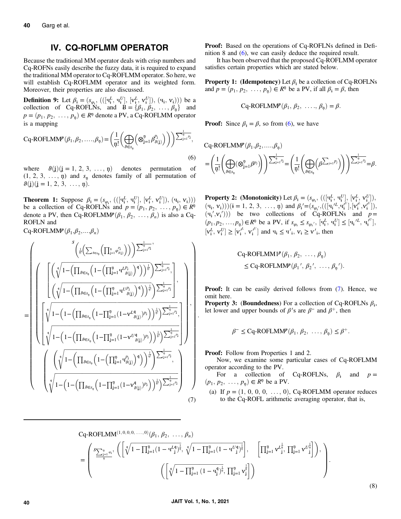# IV. CQ-ROFLMM OPERATOR

<span id="page-3-0"></span>Because the traditional MM operator deals with crisp numbers and Cq-ROFNs easily describe the fuzzy data, it is required to expand the traditional MM operator to Cq-ROFLMM operator. So here, we will establish Cq-ROFLMM operator and its weighted form. Moreover, their properties are also discussed.

Definition 9: Let <sup>β</sup><sup>ɨ</sup> <sup>=</sup> <sup>ð</sup>s<sup>φ</sup><sup>ɨ</sup> ; ðð½ч<sup>L</sup> <sup>ɨ</sup> ; ч<sup>U</sup> ɨ -; ½ѵL <sup>ɨ</sup> ; ѵ<sup>U</sup> ɨ -Þ; ðчɨ; <sup>ѵ</sup><sup>ɨ</sup>ÞÞÞ be a collection of Cq-ROFLNs, and  $B = {\beta_1, \beta_2, ..., \beta_n}$  and  $B = {\alpha_1, \beta_2, ..., \beta_n}$  $p = (p_1, p_2, \ldots, p_n) \in R^n$  denote a PV, a Cq-ROFLMM operator is a mapping

$$
Cq-ROFLMM^{p}(\beta_{1},\beta_{2},\ldots,\beta_{\eta}) = \left(\frac{1}{\eta!} \left(\bigoplus_{\vartheta \in s_{\eta}} \left(\otimes_{j=1}^{\eta} \beta_{\vartheta(j)}^{p_{j}}\right)\right)\right) \sum_{j=1}^{\frac{1}{\eta}} P_{j}}^{1},\tag{6}
$$

where  $\vartheta(j)(j = 1, 2, 3, \ldots, n)$  denotes permutation of  $(1, 2, 3, \ldots, n)$  and  $s_n$  denotes family of all permutation of  $\vartheta(j)(j = 1, 2, 3, \ldots, n).$ 

**Theorem 1:** Suppose  $\beta_i = (s_{\varphi_i}, (([\mathbf{q}_i^L, \mathbf{q}_i^U], [\mathbf{v}_i^L, \mathbf{v}_i^U]), (\mathbf{q}_i, \mathbf{v}_i)))$ <br>be a collection of Cq-ROFLNs and  $n = (p_i, p_2, \ldots, p_n) \in \mathbb{R}^n$ be a collection of Cq-ROFLNs and  $p = (p_1, p_2, \ldots, p_n) \in \mathbb{R}^n$ <br>denote a PV, then Cq ROFLMM $p(A, B, \ldots, B)$  is also a Cq. denote a PV, then Cq-ROFLMM $P(\beta_1, \beta_2, \ldots, \beta_n)$  is also a Cq-ROFLN and

Cq-ROFLMM $P(\beta_1,\beta_2,...,\beta_n)$ 

$$
\begin{split} = & \left(\sqrt[4]{\sqrt[4]{1-\left(\prod_{\theta \in S_{\mathfrak{V}}}\left(1-\left(\prod_{j=1}^{n}q_{\theta(j)}^{p_{j}}\right)\right)\right)^{\frac{1}{\psi}}}\right)^{\frac{1}{\psi_{j}}-1}}\right) \\ =& \left(\sqrt[4]{\sqrt[4]{1-\left(\prod_{\theta \in S_{\mathfrak{V}}}\left(1-\left(\prod_{j=1}^{n}q^{U_{\theta(j)}}\right)^{q}\right)\right)^{\frac{1}{\psi}}}\right)^{\frac{1}{\psi_{j}}-1}}\right), \\ =& \left(\sqrt[4]{\sqrt[4]{1-\left(\prod_{\theta \in S_{\mathfrak{V}}}\left(1-\left(\prod_{j=1}^{n}q^{U_{\theta(j)}^{p_{j}}}\right)^{q}\right)\right)^{\frac{1}{\psi}}}\right)^{\frac{1}{\psi_{j}}-1}}\right), \\ =& \left(\sqrt[4]{\sqrt[4]{1-\left(1-\left(\prod_{\theta \in S_{\mathfrak{V}}}\left(1-\prod_{j=1}^{n}(1-v^{U_{\theta(j)}^{q_{j}}})^{p_{j}}\right)\right)^{\frac{1}{\psi}}}\right)^{\frac{1}{\psi_{j}}-1}}\right), \\ & \left(\sqrt[4]{1-\left(1-\left(\prod_{\theta \in S_{\mathfrak{V}}}\left(1-\prod_{j=1}^{n}(1-v^{U_{\theta(j)}^{q_{j}}})^{p_{j}}\right)\right)^{\frac{1}{\psi}}}\right)^{\frac{1}{\psi_{j}}-1}}\right) \\ & \left(\sqrt[4]{1-\left(\prod_{\theta \in S_{\mathfrak{V}}}\left(1-\left(\prod_{j=1}^{n}q_{\theta(j)}^{p_{j}}\right)^{q}\right)\right)^{\frac{1}{\psi}}}\right)^{\frac{1}{\psi_{j}}-1}}\right) \\ & \left(\sqrt[4]{1-\left(1-\left(\prod_{\theta \in S_{\mathfrak{V}}}\left(1-\prod_{j=1}^{n}(1-v^{q_{\theta(j)}})^{p_{j}}\right)\right)^{\frac{1}{\psi}}}\right)^{\frac{1}{\psi_{j}}-1}}\right) \\ & \left(\sqrt[4]{1-\left(1-\left(\prod_{\theta \in S_{\mathfrak{V}}}\left(1-\prod_{j=1}^{n}(1-v^{q_{\theta(j)}})^{p_{j}}\right)\right)^{\frac{1}{\psi}}}\right)^{\frac{1}{
$$

Proof: Based on the operations of Cq-ROFLNs defined in Definition 8 and (6), we can easily deduce the required result.

It has been observed that the proposed Cq-ROFLMM operator satisfies certain properties which are stated below.

**Property 1: (Idempotency)** Let  $\beta_i$  be a collection of Cq-ROFLNs and  $p = (p_1, p_2, \ldots, p_n) \in R^n$  be a PV, if all  $\beta_i = \beta$ , then

$$
Cq-ROFLMM^{p}(\beta_1, \beta_2, \ldots, \beta_p) = \beta.
$$

**Proof:** Since  $\beta_i = \beta$ , so from (6), we have

$$
\begin{split} &\text{Cq-ROFLMM}^p(\beta_1,\beta_2,....,\beta_{\mathfrak{y}})\\ =&\left(\frac{1}{\mathfrak{y}!}\left(\bigoplus_{\vartheta\in s_{\mathfrak{y}}} (\otimes_{j=1}^{\mathfrak{y}}\beta^{p_j})\right)\right)^{\sum_{j=1}^{\mathfrak{y}}p_j}=\left(\frac{1}{\mathfrak{y}!}\left(\bigoplus_{\vartheta\in s_{\mathfrak{y}}} \left(\beta^{\sum_{j=1}p_j}\right)\right)\right)^{\sum_{j=1}^{\mathfrak{y}}p_j}=\beta. \end{split}
$$

**Property 2:** (Monotonicity) Let  $\beta_i = (s_{\varphi_i}, \{([\mathbf{q}_i^L, \mathbf{q}_i^U], [\mathbf{v}_i^L, \mathbf{v}_i^U]), [\mathbf{v}_i^L, \mathbf{v}_i^U]\},$  $(v_4, v_4)$ )) $(i = 1, 2, 3, ..., n)$  and  $\beta'_i = (s_{\varphi'_i}, (([v_4'^L, v_4^{l'}], [v_4^{l'}, v_4^{l'}]),$ <br> $(v_5, v_5^{l'}), (v_6, v_6^{l'})$  be two collections of  $C_0$ -ROFI Ns and  $n =$  $(\mathbf{q}_i, \mathbf{v}_i)$ )  $(\mathbf{t} = 1, 2, 3, \dots, \mathbf{u})$  and  $p_i = (\mathbf{s}_{\varphi_i'}, ((\mathbf{q}_i, \mathbf{q}_i), \mathbf{v}_i, \mathbf{v}_i))$ ,<br>  $(\mathbf{q}_i', \mathbf{v}_i'))$  be two collections of Cq-ROFLNs and  $p =$ <br>  $(\mathbf{p}_i, \mathbf{p}_i, \mathbf{v}_i) \in \mathbb{R}^n$  be a PN if  $\mathbf{s}_i \le$  $(p_1, p_2, ..., p_n) \in \mathbb{R}^n$  be a PV, if  $s_{\varphi_i} \le s_{\varphi_i}$ ,  $[\mathbf{q}_i^L, \mathbf{q}_i^U] \le [\mathbf{q}_i^L, \mathbf{q}_i^U]$ ,  $[v_i^L, v_i^U] \ge [v_i^{L}, v_i^{U}]$  and  $v_i \le v_i^{U}$ ,  $v_i \ge v_i^{U}$ , then

$$
Cq-ROFLMM1p(\beta_1, \beta_2, ..., \beta_{\eta})
$$
  
\$\leq Cq-ROFLMM<sup>p</sup>(\beta\_1', \beta\_2', ..., \beta\_{\eta'})\$.

Proof: It can be easily derived follows from (7). Hence, we omit here.

**Property 3: (Boundedness)** For a collection of Cq-ROFLNs  $\beta_i$ , let lower and upper bounds of  $\beta'$ s are  $\beta^-$  and  $\beta^+$ , then

$$
\beta^{-} \leq Cq\text{-ROFLMMP}(\beta_1, \beta_2, \ldots, \beta_{\mathfrak{y}}) \leq \beta^{+}.
$$

Proof: Follow from Properties 1 and 2.

Now, we examine some particular cases of Cq-ROFLMM operator according to the PV.

For a collection of Cq-ROFLNs,  $\beta_i$  and  $p =$  $(p_1, p_2, \ldots, p_n) \in R^n$  be a PV.

(a) If  $p = (1, 0, 0, 0, ..., 0)$ , Cq-ROFLMM operator reduces to the Cq-ROFL arithmetic averaging operator, that is,

$$
Cq-ROFLMM^{(1,0,0,0,...,0)}(\beta_1, \beta_2, ..., \beta_n)
$$
\n
$$
= \left(\sum_{i=1}^{3} \sum_{j=1}^{n} \alpha_j \left( \left[ \sqrt[4]{1 - \prod_{j=1}^{n} (1 - \mathbf{u}^{L_4}_{j})^{\frac{1}{\mathfrak{p}}}}, \sqrt[4]{1 - \prod_{j=1}^{n} (1 - \mathbf{u}^{U_4}_{j})^{\frac{1}{\mathfrak{p}}}} \right], \left[ \prod_{j=1}^{n} \mathbf{v}^{L_4^{\frac{1}{\mathfrak{p}}}}, \prod_{j=1}^{n} \mathbf{v}^{U_4^{\frac{1}{\mathfrak{p}}}} \right] \right), \left( \left[ \sqrt[4]{1 - \prod_{j=1}^{n} (1 - \mathbf{u}^{L_4^{\frac{1}{\mathfrak{p}}}})}, \prod_{j=1}^{n} \mathbf{v}^{L_j^{\frac{1}{\mathfrak{p}}}} \right] \right), \dots \right)
$$

:

(8)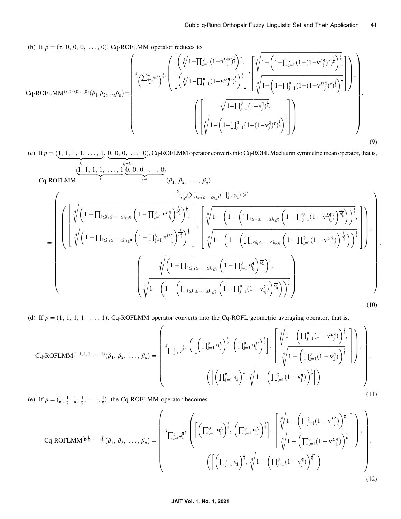:

(b) If  $p = (\tau, 0, 0, 0, \ldots, 0)$ , Cq-ROFLMM operator reduces to

$$
Cq-ROFLMM^{(\tau,0,0,0,...,0)}(\beta_1,\beta_2,...,\beta_n) = \begin{pmatrix} \sqrt{\left(\sqrt[3]{1-\prod_{j=1}^{\eta}(1-\mathbf{q}^{L_{\mathbf{q}^{\tau}}})^{\frac{1}{\eta}}}\right)^{\frac{1}{\tau}}, & \sqrt{\left(\left(\sqrt[3]{1-\prod_{j=1}^{\eta}(1-\mathbf{q}^{L_{\mathbf{q}^{\tau}}})^{\frac{1}{\eta}}}\right)^{\frac{1}{\tau}}, & \sqrt{\left(\sqrt[3]{1-\left(1-\prod_{j=1}^{\eta}(1-\left(1-\mathbf{q}^{L_{\mathbf{q}^{\tau}}})^{\frac{1}{\eta}}\right)^{\frac{1}{\tau}}}\right)^{\frac{1}{\tau}}\right)}, & \sqrt{\left(\sqrt[3]{1-\prod_{j=1}^{\eta}(1-\left(1-\prod_{j=1}^{\eta}(1-\left(1-\mathbf{q}^{L_{\mathbf{q}^{\tau}}})^{\frac{1}{\eta}}\right)^{\frac{1}{\tau}}}\right)^{\frac{1}{\tau}}\right)}\right)^{\frac{1}{\tau}}\end{pmatrix},
$$
  
\n
$$
\left(\left[\sqrt[3]{1-\prod_{j=1}^{\eta}(1-\mathbf{q}^{L_{\mathbf{q}^{\tau}}})^{\frac{1}{\eta}}}\right)^{\frac{1}{\tau}}, \left(\sqrt[3]{1-\prod_{j=1}^{\eta}(1-\mathbf{q}^{L_{\mathbf{q}^{\tau}}})^{\frac{1}{\eta}}}\right)^{\frac{1}{\tau}}\right)^{\frac{1}{\tau}}\right)\right)
$$
\n(9)

(c) If  $p = (\underbrace{1, 1, 1, 1, \ldots, 1}_{k}, \underbrace{0, 0, 0, \ldots, 0}_{n-k})$ , Cq-ROFLMM operator converts into Cq-ROFL Maclaurin symmetric mean operator, that is,  $\overbrace{k}$  $, 0, 0, 0, \ldots, 0$  $\underbrace{0, 0, 0, \ldots, 0}$ , Cq-ROFLMM operator converts into Cq-ROFL Maclaurin symmetric mean operator, that is, Cq‐ROFLMM  $(\underbrace{1, 1, 1, 1, \ldots, 1}$  $\frac{1}{k}$  $,0, 0, 0, \ldots, 0$  $\frac{1}{\mathfrak{p}-k}$  $(\beta_1, \beta_2, \ldots, \beta_n)$ =  $\int\limits_{-\frac{1}{2\eta_k} \leq \left( \sum_{1 \leq i_1 \leq \cdots \leq i_k \leq 1} (\prod_{j=1}^{\mathfrak{g}} \varphi_{i_j})) \right)^{\frac{1}{k}}},$ BBBBBBBBBBBBBBBBBBBB@  $\sqrt{ }$  $\parallel$  $\sqrt{2}$  $\begin{array}{c|c|c|c} \hline \multicolumn{1}{c|}{\textbf{1}} & \multicolumn{1}{c|}{\textbf{1}} \\ \hline \multicolumn{1}{c|}{\textbf{2}} & \multicolumn{1}{c|}{\textbf{3}} \\ \hline \multicolumn{1}{c|}{\textbf{4}} & \multicolumn{1}{c|}{\textbf{5}} \\ \hline \multicolumn{1}{c|}{\textbf{5}} & \multicolumn{1}{c|}{\textbf{6}} \\ \hline \multicolumn{1}{c|}{\textbf{6}} & \multicolumn{1}{c|}{\textbf{6}} \\ \hline \multicolumn{1}{c|}{\textbf{6}} & \mult$  $\left(1-\prod_{1\leq i_1\leq \ldots\leq i_{k\leq \mathfrak{P}}}\left(1-\prod_{j=1}^{\mathfrak{p}}\mathbf{q}^{Lq}_{i_1}\right)^{\frac{1}{D_{\mathfrak{p}}^k}}\right)^{\frac{1}{k}}$  $\left(1-\prod_{j=1}^{\mathfrak{p}}\mathbf{q}^{L}\mathbf{q}\right)$  $\sqrt[3]{\left(1-\Pi\right)}$   $\left(1-\Pi^{n}\right)^{n-1/4}\sqrt{\frac{1}{p_{0}^{k}}}\right)^{\frac{1}{k}}$ ;  $\left(1-\prod_{1\leq i_1\leq \cdots\leq i_{k\leq \mathfrak{P}}}\left(1-\prod_{j=1}^{\mathfrak{p}}\mathbf{q}^{U\mathfrak{q}}_{i_1}\right)^{\frac{1}{D_{\mathfrak{p}}^k}}\right)^{\frac{1}{k}}$  $\left(1-\prod_{\mathbf{j}=1}^{\mathfrak{p}}\mathbf{q}^{U\mathbf{\mathfrak{q}}}_{\mathbf{i_j}}\right)$  $\sqrt[3]{\left(1-\Pi\right)}$   $\left(1-\Pi^{(1)}\right)^{1/2}$   $\sqrt[3]{\frac{1}{\rho_0^k}}\sqrt{\frac{1}{k}}$ 1 7 7 7 7 7 5 ;  $\sqrt{2}$  $\begin{array}{c|c|c|c} \hline \multicolumn{1}{|c|}{1} & \multicolumn{1}{|c|}{1} & \multicolumn{1}{|c|}{1} & \multicolumn{1}{|c|}{1} & \multicolumn{1}{|c|}{1} & \multicolumn{1}{|c|}{1} & \multicolumn{1}{|c|}{1} & \multicolumn{1}{|c|}{1} & \multicolumn{1}{|c|}{1} & \multicolumn{1}{|c|}{1} & \multicolumn{1}{|c|}{1} & \multicolumn{1}{|c|}{1} & \multicolumn{1}{|c|}{1} & \multicolumn{1}{|c|}{1} & \multicolumn{1}{|$  $\left( \begin{array}{cc} \frac{1}{k} \end{array} \right)$  $1 - \left(1 - \left(\prod_{1 \leq i_1 \leq \cdots \leq i_k \leq n} \right)\right)$  $\left(1 - \prod_{j=1}^{n} (1 - v_{i_j}^{Lq})\right)$  $\sqrt[4]{1 - \left(1 - \left(\prod_{i=1}^{n} (1 - \mathbf{v}^{k_i})\right)^{\frac{1}{p_i}}\right)^{\frac{1}{k}}}.$ ;  $\left( \begin{array}{cc} \frac{1}{k} \end{array} \right)$  $1 - \left(1 - \left(\prod_{1 \leq i_1 \leq \cdots \leq i_k \leq n} \right)\right)$  $\left(1 - \prod_{j=1}^{n} (1 - v_{i_j}^{Uq})\right)$  $\sqrt[4]{1 - \left(1 - \left(\prod_{i=1}^{n} (1 - \mathbf{v}^{U_i} + \mathbf{v}^{U_i})\right)^{\frac{1}{p_i}}\right)^{\frac{1}{k}}}.$ 1 7 7 7 7 7 5  $\setminus$  $\begin{array}{c} \hline \end{array}$ ;  $\sqrt{2}$  $\overline{\phantom{a}}$  $\left(1-\prod_{1\leq i_1\leq \cdots\leq i_{k\leq \bar{\eta}}}\left(1-\prod_{j=1}^{\bar{\eta}}\mathbf{q}_{i_j}^{\bar{\mathsf{q}}}\right)^{\frac{1}{D_{\bar{\eta}}^k}}\right)^{\frac{1}{k}}$  $\left(1-\prod_{j=1}^n q_{i_j}^{\mathfrak{q}}\right)$  $\sqrt[3]{\left(1-\Pi\right)}$   $\left(1-\Pi^{p}\right)^{n}$   $\sqrt{p_{\phi}^{k}}\sqrt{\frac{1}{k}}$ ;  $\left( \begin{array}{cc} \frac{1}{2} & \frac{1}{2} \end{array} \right)$  $1 - \Bigg(1 - \Bigg(\prod_{1 \leq i_1 \leq \cdots \leq i_k \leq \mathfrak{p}}$  $\left(1 - \prod_{j=1}^{n} (1 - v_{i_j}^{\mathfrak{q}})\right)$  $\sqrt[4]{1 - \left(1 - \left(\prod_{i=1}^{n} (1 - x_i^q)^{1 - \frac{1}{n}}\right)^{\frac{1}{n}}\right)^{\frac{1}{n}}}$  $\setminus$  $\begin{array}{c} \begin{array}{c} \begin{array}{c} \end{array} \\ \begin{array}{c} \end{array} \end{array} \end{array}$  $\setminus$  $\begin{array}{c} \begin{array}{c} \begin{array}{c} \end{array} \end{array}$ (10)

(d) If  $p = (1, 1, 1, 1, \ldots, 1)$ , Cq-ROFLMM operator converts into the Cq-ROFL geometric averaging operator, that is,

$$
Cq-ROFLMM^{(1,1,1,1,1,1,1)}(\beta_1, \beta_2, \ldots, \beta_n) = \left( \begin{array}{c} \displaystyle s_{\prod_{j=1}^{\mathfrak{d}} \varphi_1^{\frac{1}{\mathfrak{d}}}}, \left( \left[ \left( \prod_{j=1}^{\mathfrak{q}} \mathbf{q}_j^L \right)^{\frac{1}{\mathfrak{q}}}, \left( \prod_{j=1}^{\mathfrak{q}} \mathbf{q}_j^U \right)^{\frac{1}{\mathfrak{q}}} \right], \left[ \begin{array}{c} \displaystyle \sqrt[4]{1 - \left( \prod_{j=1}^{\mathfrak{q}} (1 - \mathbf{v}_j^L) \right)^{\frac{1}{\mathfrak{q}}}}, \\[1mm] \displaystyle \sqrt[4]{1 - \left( \prod_{j=1}^{\mathfrak{q}} (1 - \mathbf{v}_j^{\mathfrak{q}}) \right)^{\frac{1}{\mathfrak{q}}}} \end{array} \right] \right),
$$

$$
\left( \left[ \left( \prod_{j=1}^{\mathfrak{q}} \mathbf{q}_j \right)^{\frac{1}{\mathfrak{q}}}, \sqrt[4]{1 - \left( \prod_{j=1}^{\mathfrak{q}} (1 - \mathbf{v}_j^{\mathfrak{q}}) \right)^{\frac{1}{\mathfrak{q}}}} \right] \right) \right)
$$

(e) If  $p = (\frac{1}{\varphi}, \frac{1}{\varphi}, \frac{1}{\varphi}, \frac{1}{\varphi}, \dots, \frac{1}{\varphi})$ , the Cq-ROFLMM operator becomes

$$
Cq-ROFLMM^{(\frac{1}{q},\frac{1}{q},\ldots,\frac{1}{q})}(\beta_1,\beta_2,\ldots,\beta_n) = \left(\begin{array}{c} \int_{\prod_{j=1}^n q_j^{\frac{1}{q}}}, \left( \left[ \left( \prod_{j=1}^n u_j^L \right)^{\frac{1}{q}}, \left( \prod_{j=1}^n u_j^U \right)^{\frac{1}{q}} \right], \left[ \sqrt[n]{1 - \left( \prod_{j=1}^n (1 - v_{j}^{\ell q}) \right)^{\frac{1}{q}}}, \prod_{j=1}^n (1 - v_{j}^{\ell q}) \right)^{\frac{1}{q}} \end{array} \right],
$$
\n
$$
\left( \left[ \left( \prod_{j=1}^n u_j \right)^{\frac{1}{q}}, \sqrt[q]{1 - \left( \prod_{j=1}^n (1 - v_{j}^{\ell q}) \right)^{\frac{1}{q}} \right]} \right) \right),
$$
\n
$$
\left( \left[ \left( \prod_{j=1}^n u_j \right)^{\frac{1}{q}}, \sqrt[q]{1 - \left( \prod_{j=1}^n (1 - v_j^{\ell q}) \right)^{\frac{1}{q}} \right]} \right) \right) \right)
$$
\n
$$
(12)
$$

#### JAIT Vol. 1, No. 1, 2021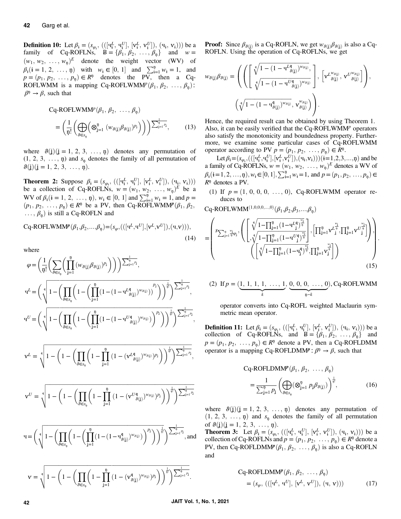<span id="page-5-0"></span>**Definition 10:** Let  $\beta_i = (s_{\varphi_i}, \left( (\begin{bmatrix} \mathbf{u}_i^L, \mathbf{u}_i^U \end{bmatrix}, \begin{bmatrix} \mathbf{v}_i^L, \mathbf{v}_i^U \end{bmatrix}), (\mathbf{u}_i, \mathbf{v}_i) \right)$ ) be a family of Cq-ROFLNs  $B = \{\beta_i, \beta_2, \beta_3, \beta_4, \beta_5, \beta_6, \beta_7, \beta_8, \beta_9, \beta_9, \beta_9, \beta_9, \beta_9, \beta_9, \beta$ family of Cq-ROFLNs,  $B = {\beta_1, \beta_2, ..., \beta_n}$  and  $w =$ <br>(w w =  $w^2$  denote the weight vector (WV) of  $(w_1, w_2, \ldots, w_n)^E$  denote the weight vector (WV) of  $\beta_i$  (**i** = 1, 2, ..., **n**) with  $w_i \in [0, 1]$  and  $\sum_{i=1}^n w_i = 1$ , and  $p = (p_1, p_2, \ldots, p_n) \in \mathbb{R}^n$  denotes the PV then a Co $p = (p_1, p_2, \ldots, p_n) \in R^n$  denotes the PV, then a Cq-ROFLWMM is a mapping Cq-ROFLWMM<sup>p</sup> $(\beta_1, \beta_2, \ldots, \beta_n)$ :  $\beta$ <sup>n</sup>  $\rightarrow \beta$ , such that

$$
Cq-ROFLWMM^{p}(\beta_{1}, \beta_{2}, ..., \beta_{n})
$$
  
=  $\left(\frac{1}{n!} \left( \bigoplus_{\theta \in s_{n}} \left( \otimes_{j=1}^{n} (w_{\theta(j)}\beta_{\theta(j)})^{p_{j}} \right) \right) \right) \sum_{j=1}^{n} p_{j},$  (13)

where  $\vartheta(j)(j = 1, 2, 3, ..., n)$  denotes any permutation of  $(1, 2, 3, \ldots, n)$  and  $s_n$  denotes the family of all permutation of  $\vartheta(j)(j = 1, 2, 3, \ldots, n).$ 

**Theorem 2:** Suppose  $\beta_i = (s_{\varphi_i}, (([\mathbf{q}_i^L, \mathbf{q}_i^U], [\mathbf{v}_i^L, \mathbf{v}_i^U]), (\mathbf{q}_i, \mathbf{v}_i)))$ **i heorem** 2: suppose  $p_i = (s_{\varphi_i}, (([q_i, q_i], [v_i, v_i]), (q_i, v_i)))$ <br>be a collection of Cq-ROFLNs,  $w = (w_1, w_2, ..., w_p)^E$  be a<br>WN of  $\beta$  (i - 1.2, b)  $w \in [0, 1]$  and  $\Sigma^{\mathfrak{p}}$ ,  $w = 1$  and  $w = 1$ WV of  $\beta_i$  ( $i = 1, 2, ..., n$ ),  $w_i \in [0, 1]$  and  $\sum_{i=1}^n w_i = 1$ , and  $p =$ <br>  $(p_i, p_2, \ldots, p_i) \in R^n$  be a PV then  $C_0$ -ROFI WMMP  $(\beta, \beta_2)$  $(p_1, p_2, \ldots, p_n) \in \mathbb{R}^n$  be a PV, then Cq-ROFLWMM $P(\beta_1, \beta_2, \ldots, \beta_n)$  $\ldots, \beta_n$ ) is still a Cq-ROFLN and

$$
Cq-ROFLWMM^{p}(\beta_1,\beta_2,...,\beta_{\mathfrak{p}})=(s_{\varphi},(([\mathbf{q}^{L},\mathbf{q}^{U}],[\mathbf{v}^{L},\mathbf{v}^{U}]),(\mathbf{q},\mathbf{v}))),
$$
\n(14)

where

$$
\begin{split} \varphi &= \bigg( \frac{1}{\mathfrak{y}!} \bigg( \sum_{\vartheta \in s_{\mathfrak{y}}} \bigg( \prod_{j=1}^{\mathfrak{p}} \big( w_{\vartheta(j)} \beta_{\vartheta(j)} \big)^{p_{j}} \bigg) \bigg) \bigg) ^{\sum_{j=1}^{\mathfrak{p}} p_{j}} , \\ &\mathbf{y}^{L} = \bigg( \sqrt[4]{\mathfrak{1} - \bigg( \prod_{\vartheta \in s_{\mathfrak{y}}} \bigg( 1 - \bigg( \prod_{j=1}^{\mathfrak{p}} \big( 1 - \big( 1 - \mathbf{y}^{L \mathfrak{q}}_{\vartheta(j)} \big)^{w_{\vartheta(j)}} \big) \bigg)^{p_{j}} \bigg) \bigg)^{\frac{1}{\mathfrak{y}!}} \bigg) ^{\sum_{j=1}^{\mathfrak{p}} p_{j}} , \\ &\mathbf{y}^{U} = \bigg( \sqrt[4]{\mathfrak{1} - \bigg( \prod_{\vartheta \in s_{\mathfrak{y}}} \bigg( 1 - \bigg( \prod_{j=1}^{\mathfrak{p}} \big( 1 - \big( 1 - \mathbf{y}^{U \mathfrak{q}}_{\vartheta(j)} \big)^{w_{\vartheta(j)}} \big) \bigg)^{p_{j}} \bigg) \bigg)^{\frac{1}{\mathfrak{y}!}} \bigg) ^{\sum_{j=1}^{\mathfrak{p}} p_{j}} , \end{split}
$$

$$
\mathbf{v}^L = \sqrt[4]{1 - \left(1 - \left(\prod_{\theta \in s_q} \left(1 - \prod_{j=1}^{\eta} \left(1 - (\mathbf{v}^L_{\theta(j)})^{w_{\theta(j)}}\right)^{p_j}\right)\right)^{\frac{1}{\eta'}}\right)^{\sum_{j=1}^{\eta} p_j}},
$$

$$
\mathbf{v}^U=\sqrt[4]{1-\left(1-\left(\prod_{\vartheta\in\mathfrak{H}_\eta}\left(1-\prod_{j=1}^\eta\left(1-(\mathbf{v}^U_{\ \vartheta(j)}^{q})^{w_{\vartheta(j)}}\right)^{p_j}\right)\right)^{\frac{1}{q!}}\right)^{\sum_{j=1}^\eta p_j}}
$$

$$
\mathbf{q}=\Bigg(\sqrt[4]{1-\Bigg(\prod_{\vartheta\in\mathcal{S}_{\mathfrak{p}}}\Bigg(1-\bigg(\prod_{j=1}^{\mathfrak{p}}\big(1-(1-\mathbf{q}_{\vartheta(j)}^{\mathfrak{q}})^{w_{\vartheta(j)}}\bigg)\Bigg)^{p_{j}}\Bigg)\Bigg)^{\frac{1}{q_{j}}}\Bigg)^{\frac{1}{\sum_{j=1}^{\mathfrak{q}}p_{j}}},\text{and}
$$

$$
v=\sqrt[4]{1-\bigg(1-\bigg(\prod_{\beta\in\mathcal{S}_\eta}\bigg(1-\prod_{j=1}^\eta\big(1-(v^\mathfrak{q}_{\vartheta(j)})^{w_{\vartheta(j)}}\big)^{p_j}\bigg)\bigg)^{\frac{1}{\eta!}}\bigg)\frac{\sum_{j=1}^\eta \rho_j}{\sum_{j=1}^\eta \rho_j}}.
$$

**Proof:** Since  $\beta_{\theta(i)}$  is a Cq-ROFLN, we get  $w_{\theta(i)}\beta_{\theta(i)}$  is also a Cq-ROFLN. Using the operation of Cq-ROFLNs, we get

$$
\begin{split} w_{\theta(j)}\beta_{\theta(j)}=&\left(\left(\left[\begin{array}{c} \sqrt[q]{1-(1-{\bf{q}}^{Lq}_{\ \ \theta(j)})^{w_{\theta(j)}}},\\ \sqrt[q]{1-(1-{\bf{q}}^{Uq}_{\ \ \theta(j)})^{w_{\theta(j)}}}\end{array}\right],\ \left[{\bf{v}}^{L^{w_{\theta(j)}}}_{\ \ \theta(j)},\ {\bf{v}}^{U^{w_{\theta(j)}}}_{\ \ \theta(j)}\right]\right),\\ &\left(\sqrt[q]{1-(1-{\bf{q}}^{q}_{\ \ \theta(j)})^{w_{\theta(j)}}},\ {\bf{v}}^{w_{\theta(j)}}_{\ \ \theta(j)}\right)\right). \end{split}
$$

Hence, the required result can be obtained by using Theorem 1. Also, it can be easily verified that the Cq-ROFLWMM<sup>p</sup> operators also satisfy the monotonicity and boundedness property. Furthermore, we examine some particular cases of Cq-ROFLWMM operator according to PV  $p = (p_1, p_2, \ldots, p_n) \in R^n$ .

Let  $\beta_i = (s_{\varphi_i}, (([\mathbf{q}_i^L, \mathbf{q}_i^U], [\mathbf{v}_i^L, \mathbf{v}_i^U]), (\mathbf{q}_i, \mathbf{v}_i))) (\mathbf{i} = 1, 2, 3, ..., \mathbf{p})$  and be nity of Co-ROFI Ns,  $w = (w_i, w_i, w_i, w_i)$  be denotes a WV of ɨ -ɨ -a family of Cq-ROFLNs, <sup>w</sup> <sup>=</sup> <sup>ð</sup>w1; <sup>w</sup>2; :::; <sup>w</sup><sup>ņ</sup>Þ<sup>E</sup> denotes a WV of  $\beta_i$  (**i** = 1, 2, ..., n),  $w_i \in [0, 1], \sum_{i=1}^n w_i = 1$ , and  $p = (p_1, p_2, ..., p_n) \in$ <br> $B_{\nu}^n$  denotes a PV  $R<sup>n</sup>$  denotes a PV.

(1) If  $p = (1, 0, 0, 0, \ldots, 0)$ , Cq-ROFLWMM operator reduces to

 $Cq$ -ROFLWMM $^{(1,0,0,0,...,0)}(\beta_1,\beta_2,\beta_3,...,\beta_n)$ 

$$
= \left(\begin{matrix} s_{\sum_{j=1}^{\eta} \frac{w_j}{\eta} \rho_j}, \left( \begin{bmatrix} \sqrt[\eta]{1-\prod_{j=1}^{\eta} (1-q^Lj^{\eta})^{\frac{w_j}{\eta}} } \\ \sqrt[\eta]{1-\prod_{j=1}^{\eta} (1-q^Uj^{\eta})^{\frac{w_j}{\eta}} } \end{bmatrix}, \left[ \prod_{j=1}^{\eta} v^{L^{\frac{w_j}{\eta}}}_{j}, \prod_{j=1}^{\eta} v^{U^{\frac{w_j}{\eta}}}_{j} \right] \right), \\ \left( \begin{bmatrix} \sqrt[\eta]{1-\prod_{j=1}^{\eta} (1-q^q_j)^{\frac{w_j}{\eta}} }, \prod_{j=1}^{\eta} v^{\frac{w_j}{\eta}}_{j} \end{bmatrix} \right) \end{matrix} \right). \tag{15}
$$

(2) If 
$$
p = (\underbrace{1, 1, 1, 1, \ldots, 1}_{k}, \underbrace{0, 0, 0, \ldots, 0}_{n-k})
$$
, Cq-ROFLWMM

operator converts into Cq-ROFL weighted Maclaurin symmetric mean operator.

**Definition 11:** Let  $\beta_i = (s_{\varphi_i}, \left( (\begin{bmatrix} \mathbf{u}_i^L & \mathbf{u}_i^U \end{bmatrix}, \begin{bmatrix} \mathbf{v}_i^L & \mathbf{v}_i^U \end{bmatrix}), (\mathbf{u}_i, \mathbf{v}_i) \right)$  be a collection of Cq-ROFLNs and  $\mathbf{B} = \{\beta, \beta, \beta, \beta, \beta, \gamma\}$  and **EXECUTE:** Let  $p_i = (s_{\varphi_i}, (([4_i, 4_i], [v_i, v_i]), (4_i, v_i)))$  be a<br>collection of Cq-ROFLNs, and  $B = {\beta_1, \beta_2, ..., \beta_n}$  and<br> $B = (n, n, ..., n) \in R^n$  denote a PV then a Cq ROFLDMM  $p = (p_1, p_2, \ldots, p_n) \in R^n$  denote a PV, then a Cq-ROFLDMM operator is a mapping Cq-ROFLDMM<sup>p</sup>:  $\beta$ <sup>n</sup>  $\rightarrow \beta$ , such that

$$
Cq-ROFLDMMp(\beta_1, \beta_2, ..., \beta_\eta)
$$
  
= 
$$
\frac{1}{\sum_{j=1}^{\eta} p_j} \left( \bigoplus_{\theta \in s_\eta} (\otimes_{j=1}^{\eta} p_j \beta_{\theta(j)}) \right)^{\frac{1}{\eta!}},
$$
 (16)

where  $\vartheta(i)(i = 1, 2, 3, ..., n)$  denotes any permutation of  $(1, 2, 3, \ldots, n)$  and  $s_n$  denotes the family of all permutation of  $\vartheta(j)(j = 1, 2, 3, ..., n)$ .

**Theorem 3:** Let  $\beta_i = (s_{\varphi_i}, (([\mathbf{q}_i^L, \mathbf{q}_i^U], [\mathbf{v}_i^L, \mathbf{v}_i^U]), (\mathbf{q}_i, \mathbf{v}_i)))$  be a collection of Cq-ROFI Ns and  $p = (p_1, p_2, \ldots, p_n) \in \mathbb{R}^n$  denote a collection of Cq-ROFLNs and  $p = (p_1, p_2, \ldots, p_n) \in R^n$  denote a PV, then Cq-ROFLDMM $P(\beta_1, \beta_2, ..., \beta_n)$  is also a Cq-ROFLN and

$$
Cq-ROFLDMM^{p}(\beta_1, \beta_2, \ldots, \beta_{\eta})
$$
  
=  $(s_{\varphi}, (([u^{L}, u^{U}], [v^{L}, v^{U}]), (u, v)))$  (17)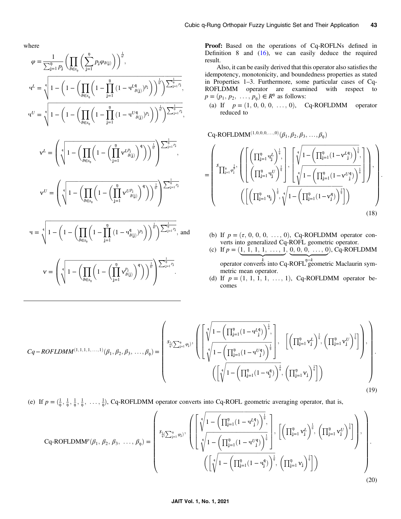where

$$
\varphi = \frac{1}{\sum_{j=1}^{n} p_j} \left( \prod_{\theta \in s_0} \left( \sum_{j=1}^{n} p_j \varphi_{\theta(j)} \right) \right)^{\frac{1}{\eta!}},
$$
\n
$$
q^{L} = \sqrt[4]{1 - \left( 1 - \left( \prod_{\theta \in s_0} \left( 1 - \prod_{j=1}^{n} \left( 1 - q^{L} \frac{q_{(j)}}{\theta(j)} \right)^{p_j} \right) \right)^{\frac{1}{\eta!}} \right)^{\frac{1}{\sum_{j=1}^{n} p_j}},
$$
\n
$$
q^{U} = \sqrt[4]{1 - \left( 1 - \left( \prod_{\theta \in s_0} \left( 1 - \prod_{j=1}^{n} \left( 1 - q^{U} \frac{q_{(j)}}{\theta(j)} \right)^{p_j} \right) \right)^{\frac{1}{\eta!}} \right)^{\frac{1}{\sum_{j=1}^{n} p_j}},
$$
\n
$$
v^{L} = \left( \sqrt[4]{1 - \left( \prod_{\theta \in s_0} \left( 1 - \left( \prod_{j=1}^{n} v^{L p_j} \right)^{q_j} \right) \right)^{\frac{1}{\eta!}} \right)^{\frac{1}{\sum_{j=1}^{n} p_j}},
$$
\n
$$
v^{U} = \left( \sqrt[4]{1 - \left( \prod_{\theta \in s_0} \left( 1 - \left( \prod_{j=1}^{n} v^{L p_j} \right)^{q_j} \right) \right)^{\frac{1}{\eta!}} \right)^{\frac{1}{\sum_{j=1}^{n} p_j}},
$$
\n
$$
q = \sqrt[4]{1 - \left( 1 - \left( \prod_{\theta \in s_0} \left( 1 - \prod_{j=1}^{n} \left( 1 - q \frac{q_{(j)}}{\theta(j)} \right)^{p_j} \right) \right)^{\frac{1}{\eta!}} \right)^{\frac{1}{\sum_{j=1}^{n} p_j}},
$$
\n
$$
v = \left( \sqrt[4]{1 - \left( \prod_{\theta \in s_0} \left( 1 - \left( \prod_{j=1}^{n} v^{P_j} \right)^{q_j} \right) \right)^{\frac{1}{\eta!}} \right)^{\frac{1}{\sum_{j=1}^{n} p_j}},
$$

Proof: Based on the operations of Cq-ROFLNs defined in Definition 8 and  $(16)$  $(16)$ , we can easily deduce the required result.

Also, it can be easily derived that this operator also satisfies the idempotency, monotonicity, and boundedness properties as stated in Properties 1–3. Furthermore, some particular cases of Cq-ROFLDMM operator are examined with respect to  $p = (p_1, p_2, \ldots, p_n) \in R^n$  as follows:

(a) If  $p = (1, 0, 0, 0, \ldots, 0)$ , Cq-ROFLDMM operator reduced to

 $Cq$ -ROFLDMM $^{(1,0,0,0,\dots,0)}(\beta_1,\beta_2,\beta_3,\dots,\beta_n)$ 

$$
= \left(\begin{matrix} \displaystyle s_{\prod_{j=1}^{\eta} \phi_j^{\frac{1}{\eta}}}, \left(\left[\left(\prod_{j=1}^{n} \mathbf{q}_j^L\right)^{\frac{1}{\eta}}, \, \right] , \left[\sqrt[q]{1-\left(\prod_{j=1}^{n} (1-\mathbf{V}^{L^{\mathbf{q}}}_{\cdot j})\right)^{\frac{1}{\eta}}}, \, \right] \right) \right) \\ \displaystyle \left(\left[\left(\prod_{j=1}^{n} \mathbf{q}_j\right)^{\frac{1}{\eta}}, \sqrt[q]{1-\left(\prod_{j=1}^{n} (1-\mathbf{V}^{U^{\mathbf{q}}}_{\cdot j})\right)^{\frac{1}{\eta}}}\right] \right) \right) \\ \displaystyle \left(\left[\left(\prod_{j=1}^{n} \mathbf{q}_j\right)^{\frac{1}{\eta}}, \sqrt[q]{1-\left(\prod_{j=1}^{n} (1-\mathbf{V}^{q}_j)\right)^{\frac{1}{\eta}}}\right] \right) \right) \end{matrix} \tag{18}
$$

:

- (b) If  $p = (\tau, 0, 0, 0, \ldots, 0)$ , Cq-ROFLDMM operator converts into generalized Cq-ROFL geometric operator.
- (c) If  $p = (\underbrace{1, 1, 1, 1, \ldots, 1}_{1}, \underbrace{0, 0, 0, \ldots, 0}_{2})$ , Cq-ROFLDMM operator converts into Cq-ROFL<sup>n–k</sup> geometric Maclaurin symmetric mean operator.
- (d) If  $p = (1, 1, 1, 1, \ldots, 1)$ , Cq-ROFLDMM operator becomes

$$
Cq - ROFLDMM^{(1,1,1,1,1,1,1,1)}(\beta_1, \beta_2, \beta_3, \dots, \beta_{\mathfrak{P}}) = \begin{pmatrix} s_{\frac{1}{\mathfrak{P}}(\sum_{j=1}^{\mathfrak{p}} \varphi_j)}, \left( \begin{bmatrix} \sqrt[4]{1 - \left( \prod_{j=1}^{\mathfrak{p}} (1 - \mathfrak{P}_{j}^{\ell 4}) \right)^{\frac{1}{\mathfrak{p}}}}, \\ \sqrt[4]{1 - \left( \prod_{j=1}^{\mathfrak{p}} (1 - \mathfrak{P}_{j}^{\ell 4}) \right)^{\frac{1}{\mathfrak{p}}}} \end{bmatrix}, \begin{bmatrix} \left( \prod_{j=1}^{\mathfrak{p}} v_{j}^{L} \right)^{\frac{1}{\mathfrak{p}}}, \left( \prod_{j=1}^{\mathfrak{p}} v_{j}^{L} \right)^{\frac{1}{\mathfrak{p}}} \end{bmatrix} \right), \\ \left( \begin{bmatrix} \sqrt[4]{1 - \left( \prod_{j=1}^{\mathfrak{p}} (1 - \mathfrak{P}_{j}^{4}) \right)^{\frac{1}{\mathfrak{p}}}}, \left( \prod_{j=1}^{\mathfrak{p}} v_{j} \right)^{\frac{1}{\mathfrak{p}}} \end{bmatrix} \right) \end{pmatrix} \tag{19}
$$

(e) If  $p = (\frac{1}{\varphi}, \frac{1}{\varphi}, \frac{1}{\varphi}, \frac{1}{\varphi}, \dots, \frac{1}{\varphi})$ , Cq-ROFLDMM operator converts into Cq-ROFL geometric averaging operator, that is,

$$
Cq-ROFLDMM^{p}(\beta_{1}, \beta_{2}, \beta_{3}, ..., \beta_{\eta}) = \left(\begin{array}{c} s_{\frac{1}{\eta}(\sum_{j=1}^{n} \varphi_{j})}, \left( \left[ \sqrt[4]{1 - \left( \prod_{j=1}^{n} (1 - \Psi_{j}^{\ell 4}) \right)^{\frac{1}{\eta}}}, \left[ \left( \prod_{j=1}^{n} v_{j}^{\ell} \right)^{\frac{1}{\eta}}, \left( \prod_{j=1}^{n} v_{j}^{\ell} \right)^{\frac{1}{\eta}} \right] \right), \\ \left( \left[ \sqrt[4]{1 - \left( \prod_{j=1}^{n} (1 - \Psi_{j}^{\ell 4}) \right)^{\frac{1}{\eta}}}, \left( \prod_{j=1}^{n} v_{j} \right)^{\frac{1}{\eta}} \right] \right) \right) \right) \right) \end{array} \tag{20}
$$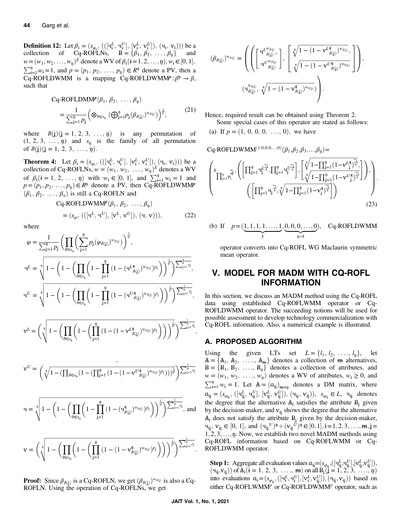<span id="page-7-0"></span>**Definition 12:** Let  $\beta_i = (s_{\varphi_i}, \left( (\begin{bmatrix} \mathbf{u}_i^L, \mathbf{u}_i^U \end{bmatrix}, \begin{bmatrix} \mathbf{v}_i^L, \mathbf{v}_i^U \end{bmatrix}), (\mathbf{u}_i, \mathbf{v}_i) \right)$ ) be a collection of Cq-ROFI Ns  $\mathbf{B} = \{\beta_i, \beta_i, \beta_i, \beta_i\}$  and collection of Cq-ROFLNs,  $B = \{\beta_1, \beta_2, \dots, \beta_p\}$  and<br> $w = (w, w, w) \in \text{denote } W M \in \mathcal{B}$  (i = 1.2, n)  $w \in [0, 1]$  $w = (w_1, w_2, \dots, w_p)^E$  denote a WV of  $\beta_i$  $(i = 1, 2, \dots, n), w_i \in [0, 1],$  $\sum_{i=1}^{n} w_i = 1$ , and  $p = (p_1, p_2, \dots, p_n) \in R^n$  denote a PV, then a<br>Co-BOEI DWMM is a manning Co-BOEI DWMM<sup>p</sup>:  $\beta^n \to \beta$ Cq-ROFLDWMM is a mapping Cq-ROFLDWMMP: $\beta$ <sup>n</sup>  $\rightarrow \beta$ , such that

$$
Cq-ROFLDMMp(\beta_1, \beta_2, ..., \beta_n)
$$
  
= 
$$
\frac{1}{\sum_{j=1}^n p_j} \left( \otimes_{\theta \in s_n} (\bigoplus_{j=1}^n p_j(\beta_{\theta(j)})^{w_{\theta(j)}}) \right)^{\frac{1}{n!}},
$$
 (21)

where  $\vartheta(j)(j = 1, 2, 3, ..., \eta)$  is any permutation of  $(1, 2, 3, \ldots, n)$  and  $s_n$  is the family of all permutation of  $\vartheta(j)(j = 1, 2, 3, \ldots, n)$ .

**Theorem 4:** Let  $\beta_i = (s_{\varphi_i}, (([\mathbf{q}_i^L, \mathbf{q}_i^U], [\mathbf{v}_i^L, \mathbf{v}_i^U]), (\mathbf{q}_i, \mathbf{v}_i)))$  be a collection of Cq-ROFI Ns  $w = (w_i, w_i, \mathbf{w})^E$  denotes a WV ɨ -ɨ -collection of Cq-ROFLNs, <sup>w</sup> <sup>=</sup> ðw1; <sup>w</sup>2; :::; <sup>w</sup><sup>ņ</sup>Þ<sup>E</sup> denotes a WV of  $\beta_i$  ( $i = 1, 2, ..., n$ ) with  $w_i \in [0, 1]$ , and  $\sum_{i=1}^{n} w_i = 1$  and  $n = (n, n_0, n_1) \in \mathbb{R}^n$  denote a PV then  $Ca$ -ROFI DWMMP  $p = (p_1, p_2, \ldots, p_n) \in R^n$  denote a PV, then Cq-ROFLDWMMP  $(\beta_1, \beta_2, \ldots, \beta_n)$  is still a Cq-ROFLN and

$$
Cq-ROFLDWMMp(\beta_1, \beta_2, ..., \beta_n)
$$
  
=  $(s_{\varphi}, (([q^L, q^U], [v^L, v^U]), (q, v))),$  (22)

where

$$
\varphi = \frac{1}{\sum_{j=1}^{n} p_j} \left( \prod_{\theta \in s_{\varrho}} \left( \sum_{j=1}^{n} p_j (\varphi_{\theta(j)})^{w_{\theta(j)}} \right)^{\frac{1}{\varrho!}},
$$
  
\n
$$
\mathbf{q}^{L} = \sqrt[4]{1 - \left( 1 - \left( \prod_{\theta \in s_{\varrho}} \left( 1 - \prod_{j=1}^{n} \left( 1 - (\mathbf{q}^{L} \mathbf{q}_{(j)})^{w_{\theta(j)}} \right)^{p_j} \right) \right)^{\frac{1}{\varrho!}} \right)^{\frac{1}{\varrho!}}} \sum_{j=1}^{\frac{1}{\varrho}} n_j},
$$
  
\n
$$
\mathbf{q}^{U} = \sqrt[4]{1 - \left( 1 - \left( \prod_{\theta \in s_{\varrho}} \left( 1 - \prod_{j=1}^{n} \left( 1 - (\mathbf{q}^{U} \mathbf{q}_{(j)})^{w_{\theta(j)}} \right)^{p_j} \right) \right)^{\frac{1}{\varrho!}} \right)^{\frac{1}{\varrho!}}} \sum_{j=1}^{\frac{1}{\varrho}} n_j},
$$
  
\n
$$
\mathbf{v}^{L} = \left( \sqrt[4]{1 - \left( \prod_{\theta \in s_{\varrho}} \left( 1 - \left( \prod_{j=1}^{n} \left( 1 - (1 - \mathbf{v}^{L} \mathbf{q}_{(j)})^{w_{\theta(j)}} \right)^{p_j} \right) \right) \right)^{\frac{1}{\varrho!}}} \right)^{\frac{1}{\varrho!}} \sum_{j=1}^{\frac{1}{\varrho}} n_j},
$$

$$
\mathbf{v}^U=\binom{\sqrt[4]{1-(\prod_{\theta\in s_{\mathfrak{y}}}(1-(\prod_{j=1}^{\mathfrak{y}}{(1-(1-\mathbf{v}^U_{\ \ \beta(j)})^{w_{\theta(j)}})^{p_j})))^{\frac{1}{\mathfrak{y}^1}}}}{\sum_{j=1}^{\mathfrak{y}}{P_j}}
$$

$$
\mathbf{q}=\sqrt[4]{1-\left(1-\left(\prod_{\vartheta\in S_{\mathfrak{q}}}\left(1-\prod_{j=1}^{\mathfrak{p}}\left(1-(\mathbf{q}_{\vartheta(j)}^{\mathfrak{q}})^{w_{\vartheta(j)}})^{p_j}\right)\right)^{\frac{1}{q!}}\right)^{\sum_{j=1}^{\mathfrak{q}}p_j}}, \text{ and}
$$

$$
\mathbf{v}=\bigg(\sqrt[q]{1-\bigg(\prod_{\vartheta\in\mathcal{S}_\eta}\bigg(1-\bigg(\prod_{j=1}^\eta\big(1-(1-\mathbf{v}^\text{q}_{\vartheta(j)})^{w_{\vartheta(j)}}\big)^{p_j}\bigg)\bigg)\bigg)^\frac{1}{\eta!}}\bigg)^{\sum_{j=1}^\frac{1}{\eta}p_j}.
$$

**Proof:** Since 
$$
\beta_{\vartheta(j)}
$$
 is a Cq-ROFLN, we get  $(\beta_{\vartheta(j)})^{w_{\vartheta(j)}}$  is also a Cq-ROFLN. Using the operation of Cq-ROFLNs, we get

Hence, required result can be obtained using Theorem 2.

Some special cases of this operator are stated as follows: (a) If  $p = (1, 0, 0, 0, \ldots, 0)$ , we have

 $Cq$ -ROFLDWMM<sup> $(1,0,0,0,...,0)$ </sup> $(\beta_1, \beta_2, \beta_3,..., \beta_n)$ =

$$
\left(\prod_{j=1}^{s_{\frac{w_{j}}{q}}}\prod_{j=1}^{\frac{w_{j}}{q}}\left(\left[\prod_{j=1}^{p}\mathbf{q}_{j}^{L^{\frac{w_{j}}{q}}},\prod_{j=1}^{p}\mathbf{q}_{j}^{U^{\frac{w_{j}}{q}}}\right],\left[\sqrt[q]{\frac{1-\prod_{j=1}^{p}\left(1-v^{L}\right)_{j}^{\frac{w_{j}}{q}}}{\sqrt[q]{1-\prod_{j=1}^{q}\left(1-v^{U}\right)_{j}^{\frac{w_{j}}{q}}}}}\right]\right),\left(\left[\prod_{j=1}^{p}\mathbf{q}_{j}^{\frac{w_{j}}{q}},\sqrt[q]{1-\prod_{j=1}^{p}\left(1-v^{U}\right)_{j}^{\frac{w_{j}}{q}}}\right]\right)\right),\left(\prod_{j=1}^{p}\mathbf{q}_{j}^{\frac{w_{j}}{q}}\right),\left(\prod_{j=1}^{p}\mathbf{q}_{j}^{\frac{w_{j}}{q}},\sqrt[q]{1-\prod_{j=1}^{p}\left(1-v^{U}\right)_{j}^{\frac{w_{j}}{q}}}\right]}\right),\left(\prod_{j=1}^{p}\mathbf{q}_{j}^{\frac{w_{j}}{q}}\right),\left(\prod_{j=1}^{p}\mathbf{q}_{j}^{\frac{w_{j}}{q}}\right),\left(\prod_{j=1}^{p}\mathbf{q}_{j}^{\frac{w_{j}}{q}}\right),\left(\prod_{j=1}^{p}\mathbf{q}_{j}^{\frac{w_{j}}{q}}\right),\left(\prod_{j=1}^{p}\mathbf{q}_{j}^{\frac{w_{j}}{q}}\right),\left(\prod_{j=1}^{p}\mathbf{q}_{j}^{\frac{w_{j}}{q}}\right),\left(\prod_{j=1}^{p}\mathbf{q}_{j}^{\frac{w_{j}}{q}}\right),\left(\prod_{j=1}^{p}\mathbf{q}_{j}^{\frac{w_{j}}{q}}\right),\left(\prod_{j=1}^{p}\mathbf{q}_{j}^{\frac{w_{j}}{q}}\right),\left(\prod_{j=1}^{p}\mathbf{q}_{j}^{\frac{w_{j}}{q}}\right),\left(\prod_{j=1}^{p}\mathbf{q}_{j}^{\frac{w_{j}}{q}}\right),\left(\prod_{j=1}^{p}\mathbf{q}_{
$$

(b) If  $p = (\underbrace{1, 1, 1, 1, \ldots, 1}_{k})$  $, 0, 0, 0, ..., 0$  $\underbrace{0,0,0,\ldots,0}_{n-k}$ , Cq-ROFLDWMM

operator converts into Cq-ROFL WG Maclaurin symmetric mean operator.

# V. MODEL FOR MADM WITH CQ-ROFL INFORMATION

In this section, we discuss an MADM method using the Cq-ROFL data using established Cq-ROFLWMM operator or Cq-ROFLDWMM operator. The succeeding notions will be used for possible assessment to develop technology commercialization with Cq-ROFL information. Also, a numerical example is illustrated.

# A. PROPOSED ALGORITHM

Using the given LTs set  $L = \{l_1, l_2, \ldots, l_n\}$ , let  $A = \{A_1, A_2, \ldots, A_m\}$  denotes a collection of  $m$  alternatives,  $B = \{B_1, B_2, \ldots, B_n\}$  denotes a collection of attributes, and  $w = (w_1, w_2, \ldots, w_n)$  denotes a WV of attributes,  $w_i \ge 0$ , and  $\sum_{i=1}^{n} w_i = 1$ . Let  $A = (a_{ij})_{m \times n}$  denotes a DM matrix, where  $a_{ij} = (s_{\varphi_{ij}}, ([q_{ij}^L, q_{ij}^U], [v_{ij}^L, v_{ij}^U]), (q_{ij}, v_{ij})), s_{\varphi_{ij}} \in L$ ,  $q_{ij}$  denotes the degree that the alternative  $A_i$  satisfies the attribute  $B_i$  given by the decision-maker, and  $v_{ij}$  shows the degree that the alternative  $A_i$  does not satisfy the attribute  $B_i$  given by the decision-maker,  $\mathbf{u}_{ij}$ ,  $\mathbf{v}_{ij} \in [0, 1]$ , and  $(\mathbf{u}_{ij}^U)^q + (\mathbf{v}_{ij}^U)^q \in [0, 1], i = 1, 2, 3, \dots, m, j = 1, 2, 3, \dots, m$  $1, 2, 3, \ldots$ , n. Now, we establish two novel MADM methods using Cq-ROFL information based on Cq-ROFLWMM or Cq-ROFLDWMM operator.

**Step 1:** Aggregate all evaluation values  $a_{ij} = (s_{\varphi_{ij}},([q_{ij}^L, q_{ij}^U],[v_{ij}^L, v_{ij}^U]), (q_{ii}, v_{ii})$  of  $A_i (i = 1, 2, 3, \ldots, m)$  on all B $(i = 1, 2, 3, \ldots, n)$  $(v_{ij}, v_{ij})$  of  $A_i$   $(i = 1, 2, 3, \ldots, m)$  on all  $B_i$  $(j = 1, 2, 3, \ldots, n)$ <br>into evaluations  $a = (s \cdot ( [nt^n] \cdot [nt^n] \cdot (m \cdot x)) )$  hased on into evaluations  $\mathbf{a}_i = (s_{\varphi_{ij}}, ([\mathbf{q}_i^L, \mathbf{q}_i^U], [\mathbf{v}_i^L, \mathbf{v}_{ij}^U]), (\mathbf{q}_{ij}, \mathbf{v}_{ij}))$  based on<br>either Ca BOEI WMMP or Ca BOEI DWMMP operator, such as either Cq-ROFLWMMP or Cq-ROFLDWMMP operator, such as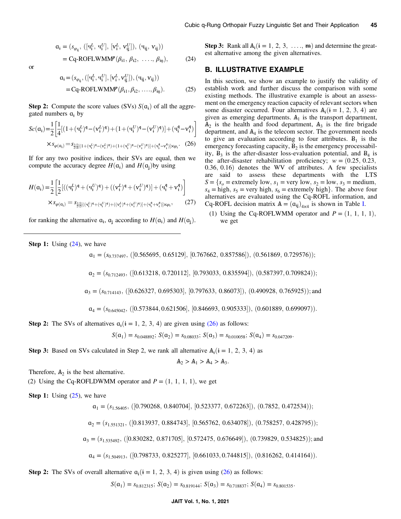$$
a_{i} = (s_{\varphi_{ij}}, ([\mathbf{q}_{i}^{L}, \mathbf{q}_{i}^{U}], [\mathbf{v}_{i}^{L}, \mathbf{v}_{ij}^{U}]), (\mathbf{q}_{ij}, \mathbf{v}_{ij}))
$$
  
= Cq-ROFLWMM<sup>p</sup>( $\beta_{i1}, \beta_{i2}, ..., \beta_{iq}$ ), (24)

or

$$
\mathbf{a}_{i} = (s_{\varphi_{i j}}, ([\mathbf{q}_{i}^{L}, \mathbf{q}_{i}^{U}], [\mathbf{v}_{i}^{L}, \mathbf{v}_{i j}^{U}]), (\mathbf{q}_{i j}, \mathbf{v}_{i j}))
$$
  
= Cq-ROFLWMM $l^{p}(\beta_{i 1}, \beta_{i 2}, ..., \beta_{i n}).$  (25)

**Step 2:** Compute the score values (SVs)  $S(\mathfrak{a}_i)$  of all the aggregated numbers  $a_i$  by

$$
Sc(\mathbf{a}_{i}) = \frac{1}{2} \left[ \frac{1}{4} [(1 + (\mathbf{u}_{i}^{L})^{\mathbf{q}} - (\mathbf{v}_{i}^{L})^{\mathbf{q}}) + (1 + (\mathbf{u}_{i}^{U})^{\mathbf{q}} - (\mathbf{v}_{i}^{U})^{\mathbf{q}})] + (\mathbf{u}_{i}^{\mathbf{q}} - \mathbf{v}_{i}^{\mathbf{q}}) \right]
$$
  
 
$$
\times s_{\varphi(\mathbf{a}_{i})} = s_{\frac{1}{2} [\frac{1}{4} [(1 + (\mathbf{u}_{i}^{L})^{\mathbf{q}} - (\mathbf{v}_{i}^{L})^{\mathbf{q}}) + (1 + (\mathbf{u}_{i}^{U})^{\mathbf{q}} - (\mathbf{v}_{i}^{U})^{\mathbf{q}})] + (\mathbf{u}_{i}^{\mathbf{q}} - \mathbf{v}_{i}^{\mathbf{q}})] \times \varphi_{i}.
$$
 (26)

If for any two positive indices, their SVs are equal, then we compute the accuracy degree  $H(\mathfrak{a}_i)$  and  $H(\mathfrak{a}_i)$  by using

$$
H(\mathbf{q}_{\mathbf{i}}) = \frac{1}{2} \left[ \frac{1}{2} [((\mathbf{q}_{\mathbf{i}}^{L})^{\mathbf{q}} + (\mathbf{q}_{\mathbf{i}}^{U})^{\mathbf{q}}) + ((\mathbf{v}_{\mathbf{i}}^{L})^{\mathbf{q}} + (\mathbf{v}_{\mathbf{i}}^{U})^{\mathbf{q}})] + (\mathbf{q}_{\mathbf{i}}^{\mathbf{q}} + \mathbf{v}_{\mathbf{i}}^{\mathbf{q}}) \right] \times s_{\varphi(\mathbf{q}_{\mathbf{i}})} = s_{\frac{1}{2} [\frac{1}{2} [((\mathbf{q}_{\mathbf{i}}^{L})^{\mathbf{q}} + (\mathbf{q}_{\mathbf{i}}^{U})^{\mathbf{q}}) + ((\mathbf{v}_{\mathbf{i}}^{L})^{\mathbf{q}} + (\mathbf{v}_{\mathbf{i}}^{U})^{\mathbf{q}})] + (\mathbf{q}_{\mathbf{i}}^{\mathbf{q}} + \mathbf{v}_{\mathbf{i}}^{\mathbf{q}})] \times \varphi_{\mathbf{i}}},
$$
\n(27)

for ranking the alternative  $a_i$ ,  $a_j$  according to  $H(a_i)$  and  $H(a_i)$ .

Step 3: Rank all  $A_i$ ( $i = 1, 2, 3, \ldots, m$ ) and determine the greatest alternative among the given alternatives.

### B. ILLUSTRATIVE EXAMPLE

In this section, we show an example to justify the validity of establish work and further discuss the comparison with some existing methods. The illustrative example is about an assessment on the emergency reaction capacity of relevant sectors when some disaster occurred. Four alternatives  $A_i(i = 1, 2, 3, 4)$  are given as emerging departments.  $A_1$  is the transport department,  $A_2$  is the health and food department,  $A_3$  is the fire brigade department, and  $A_4$  is the telecom sector. The government needs to give an evaluation according to four attributes.  $B_1$  is the emergency forecasting capacity,  $B_2$  is the emergency processability,  $B_3$  is the after-disaster loss-evaluation potential, and  $B_4$  is the after-disaster rehabilitation proficiency;  $w = (0.25, 0.23, ...)$  $0.36, 0.16$  denotes the WV of attributes. A few specialists are said to assess these departments with the LTS  $S = \{s_0 = \text{extremely low}, s_1 = \text{very low}, s_2 = \text{low}, s_3 = \text{medium},$  $s_4$  = high,  $s_5$  = very high,  $s_6$  = extremely high}. The above four alternatives are evaluated using the Cq-ROFL information, and Cq-ROFL decision matrix  $\mathbf{A} = (\mathbf{a}_{ij})_{4 \times 4}$  is shown in Table [I.](#page-9-0)

(1) Using the Cq-ROFLWMM operator and  $P = (1, 1, 1, 1)$ , we get

**Step 1:** Using  $(24)$  $(24)$ , we have

$$
\mathbf{a}_1 = (s_{0.737497}, ([0.565695, 0.65129], [0.767662, 0.857586]), (0.561869, 0.729576));
$$

 $a_2 = (s_{0.712493}, ([0.613218, 0.720112], [0.793033, 0.835594]), (0.587397, 0.709824));$ 

 $a_3 = (s_{0.714143}, ([0.626327, 0.695303], [0.797633, 0.86073]), (0.490928, 0.765925));$  and

 $a_4 = (s_{0.645042}, ([0.573844, 0.621506], [0.846693, 0.905333]), (0.601889, 0.699097)).$ 

Step 2: The SVs of alternatives  $a_i$  ( $i = 1, 2, 3, 4$ ) are given using (26) as follows:

 $S(\mathfrak{a}_1) = s_{0.048892}$ ;  $S(\mathfrak{a}_2) = s_{0.08033}$ ;  $S(\mathfrak{a}_3) = s_{0.010058}$ ;  $S(\mathfrak{a}_4) = s_{0.047209}$ .

**Step 3:** Based on SVs calculated in Step 2, we rank all alternative  $A_i$  ( $i = 1, 2, 3, 4$ ) as

$$
A_2 > A_1 > A_4 > A_3.
$$

Therefore,  $A_2$  is the best alternative.

(2) Using the Cq-ROFLDWMM operator and  $P = (1, 1, 1, 1)$ , we get

**Step 1:** Using  $(25)$ , we have

 $a_1 = (s_{1.56405}, ([0.790268, 0.840704], [0.523377, 0.672263]), (0.7852, 0.472534));$ 

 $a_2 = (s_{1.551321}, ([0.813937, 0.884743], [0.565762, 0.634078]), (0.758257, 0.428795));$ 

 $a_3 = (s_{1.535492}, ([0.830282, 0.871705], [0.572475, 0.676649]), (0.739829, 0.534825));$  and

$$
\mathbf{a}_4 = (s_{1.504913}, ([0.798733, 0.825277], [0.661033, 0.744815]), (0.816262, 0.414164)).
$$

Step 2: The SVs of overall alternative  $a_i(i = 1, 2, 3, 4)$  is given using (26) as follows:

 $S(\mathfrak{a}_1) = s_{0.812315}$ ;  $S(\mathfrak{a}_2) = s_{0.819144}$ ;  $S(\mathfrak{a}_3) = s_{0.718837}$ ;  $S(\mathfrak{a}_4) = s_{0.801535}$ .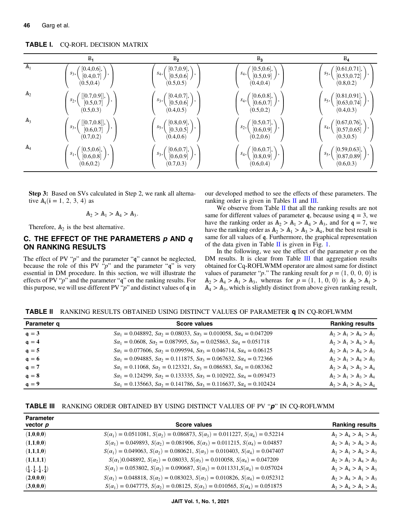|                | $B_1$                                                                              | B <sub>2</sub>                                                                       | B <sub>3</sub>                                     | $B_4$                                                                                                                           |
|----------------|------------------------------------------------------------------------------------|--------------------------------------------------------------------------------------|----------------------------------------------------|---------------------------------------------------------------------------------------------------------------------------------|
| A <sub>1</sub> | [0.4, 0.6],<br>$S_3,$<br>[0.4, 0.7]<br>(0.5, 0.4)                                  | [0.7, 0.9],<br>$S_4$ ,<br>[0.5, 0.6]<br>(0.5, 0.5)                                   | [0.5, 0.6],<br>$S_4$ ,<br>[0.5, 0.9]<br>(0.4, 0.4) | [0.61, 0.71],<br>$s5$ ,<br>[0.53, 0.72]<br>(0.8, 0.2)                                                                           |
| A <sub>2</sub> | $\begin{bmatrix} [0.7, 0.9]], \ [0.5, 0.7] \end{bmatrix}$<br>$s_2$ ,<br>(0.5, 0.3) | $\begin{pmatrix} [0.4, 0.7], \\ [0.5, 0.6] \end{pmatrix}$ ,<br>$S_3,$<br>(0.4, 0.5)  | [0.6, 0.8],<br>$S_4$ ,<br>[0.6, 0.7]<br>(0.5, 0.2) | $\left[\begin{matrix}0.81, 0.91\end{matrix}\right], \left[\begin{matrix}0.63, 0.74\end{matrix}\right],$<br>$s5$ ,<br>(0.4, 0.3) |
| $A_3$          | $[[0.7, 0.8]], \$ $[0.6, 0.7]$<br>$s_3,$<br>(0.7, 0.2)                             | $[0.8, 0.9], \rangle$<br>$S_5,$<br>$[0.3, 0.5]$ $\left  \right\rangle$<br>(0.4, 0.6) | [0.5, 0.7],<br>$s_2$ ,<br>[0.6, 0.9]<br>(0.2, 0.6) | $[0.67, 0.76],$<br>$[0.57, 0.65]$<br>$S_4$ ,<br>(0.3, 0.5)                                                                      |
| $A_4$          | [0.5, 0.6],<br>$s_1,$<br>[0.6, 0.8]<br>(0.6, 0.2)                                  | [0.6, 0.7],<br>$s_3,$<br>[0.6, 0.9]<br>(0.7, 0.3)                                    | [0.6, 0.7],<br>$S_4$ ,<br>[0.8, 0.9]<br>(0.6, 0.4) | $[0.59, 0.63]$ ,<br>$s5$ ,<br>[0.87, 0.89]<br>(0.6, 0.3)                                                                        |

<span id="page-9-0"></span>TABLE I. CQ-ROFL DECISION MATRIX

Step 3: Based on SVs calculated in Step 2, we rank all alternative  $A_i(i = 1, 2, 3, 4)$  as

$$
A_2 > A_1 > A_4 > A_3.
$$

Therefore,  $A_2$  is the best alternative.

# C. THE EFFECT OF THE PARAMETERS  $p$  AND  $q$ ON RANKING RESULTS

The effect of PV " $p$ " and the parameter " $q$ " cannot be neglected, because the role of this PV " $p$ " and the parameter " $q$ " is very essential in DM procedure. In this section, we will illustrate the effects of PV " $p$ " and the parameter " $q$ " on the ranking results. For this purpose, we will use different PV " $p$ " and distinct values of  $q$  in our developed method to see the effects of these parameters. The ranking order is given in Tables II and III.

We observe from Table  $II$  that all the ranking results are not same for different values of parameter q, because using  $q = 3$ , we have the ranking order as  $A_2 > A_1 > A_4 > A_3$ , and for  $q = 7$ , we have the ranking order as  $A_2 > A_1 > A_3 > A_4$ , but the best result is same for all values of q. Furthermore, the graphical representation of the data given in Table II is given in Fig. [1](#page-10-0).

In the following, we see the effect of the parameter  $p$  on the DM results. It is clear from Table III that aggregation results obtained for Cq-ROFLWMM operator are almost same for distinct values of parameter "*p*." The ranking result for  $p = (1, 0, 0, 0)$  is  $A_2 > A_4 > A_1 > A_3$ , whereas for  $p = (1, 1, 0, 0)$  is  $A_2 > A_1 > A_2$  $A_4 > A_3$ , which is slightly distinct from above given ranking result,

TABLE II RANKING RESULTS OBTAINED USING DISTINCT VALUES OF PARAMETER q IN CQ-ROFLWMM

| Parameter q        | <b>Score values</b>                                                                               | <b>Ranking results</b>  |
|--------------------|---------------------------------------------------------------------------------------------------|-------------------------|
| $q = 3$            | $Sa_1 = 0.048892$ , $Sa_2 = 0.08033$ , $Sa_3 = 0.010058$ , $Sa_4 = 0.047209$                      | $A_2 > A_1 > A_4 > A_3$ |
| $q = 4$            | $Sa_1 = 0.0608$ , $Sa_2 = 0.087995$ , $Sa_3 = 0.025863$ , $Sa_4 = 0.051718$                       | $A_2 > A_1 > A_4 > A_3$ |
| $q = 5$            | $Sa_1 = 0.077606$ , $Sa_2 = 0.099594$ , $Sa_3 = 0.046714$ , $Sa_4 = 0.06125$                      | $A_2 > A_1 > A_4 > A_3$ |
| $\mathfrak{a} = 6$ | $Sa_1 = 0.094885$ , $Sa_2 = 0.111875$ , $Sa_3 = 0.067632$ , $Sa_4 = 0.72366$                      | $A_2 > A_1 > A_4 > A_3$ |
| $q = 7$            | $Sa_1 = 0.11068$ , $Sa_2 = 0.123321$ , $Sa_3 = 0.086583$ , $Sa_4 = 0.083362$                      | $A_2 > A_1 > A_3 > A_4$ |
| $q = 8$            | $S\alpha_1 = 0.124299$ , $S\alpha_2 = 0.133335$ , $S\alpha_3 = 0.102922$ , $S\alpha_4 = 0.093473$ | $A_2 > A_1 > A_3 > A_4$ |
| $q = 9$            | $Sa_1 = 0.135663$ , $Sa_2 = 0.141786$ , $Sa_3 = 0.116637$ , $Sa_4 = 0.102424$                     | $A_2 > A_1 > A_3 > A_4$ |

|  | <b>TABLE III</b> RANKING ORDER OBTAINED BY USING DISTINCT VALUES OF PV "p" IN CO-ROFLWMM |  |
|--|------------------------------------------------------------------------------------------|--|
|--|------------------------------------------------------------------------------------------|--|

| <b>Parameter</b><br>vector $p$                                 | Score values                                                                                              | <b>Ranking results</b>  |
|----------------------------------------------------------------|-----------------------------------------------------------------------------------------------------------|-------------------------|
| (1,0,0,0)                                                      | $S(\alpha_1) = 0.0511081$ , $S(\alpha_2) = 0.086873$ , $S(\alpha_3) = 0.011227$ , $S(\alpha_4) = 0.52214$ | $A_2 > A_4 > A_1 > A_3$ |
| (1,1,0,0)                                                      | $S(\alpha_1) = 0.049893$ , $S(\alpha_2) = 0.081906$ , $S(\alpha_3) = 0.011215$ , $S(\alpha_4) = 0.04857$  | $A_2 > A_1 > A_4 > A_3$ |
| (1,1,1,0)                                                      | $S(\alpha_1) = 0.049063$ , $S(\alpha_2) = 0.080621$ , $S(\alpha_3) = 0.010403$ , $S(\alpha_4) = 0.047407$ | $A_2 > A_1 > A_4 > A_3$ |
| (1,1,1,1)                                                      | $S(\alpha_1)$ 0.048892, $S(\alpha_2) = 0.08033$ , $S(\alpha_3) = 0.010058$ , $S(\alpha_4) = 0.047209$     | $A_2 > A_1 > A_4 > A_3$ |
| $\left(\frac{1}{4},\frac{1}{4},\frac{1}{4},\frac{1}{4}\right)$ | $S(\alpha_1) = 0.053802$ , $S(\alpha_2) = 0.090687$ , $S(\alpha_3) = 0.011331$ , $S(\alpha_4) = 0.057024$ | $A_2 > A_4 > A_1 > A_3$ |
| (2,0,0,0)                                                      | $S(\alpha_1) = 0.048818$ , $S(\alpha_2) = 0.083023$ , $S(\alpha_3) = 0.010826$ , $S(\alpha_4) = 0.052312$ | $A_2 > A_4 > A_1 > A_3$ |
| (3,0,0,0)                                                      | $S(\alpha_1) = 0.047775$ , $S(\alpha_2) = 0.08125$ , $S(\alpha_3) = 0.010565$ , $S(\alpha_4) = 0.051875$  | $A_2 > A_4 > A_1 > A_3$ |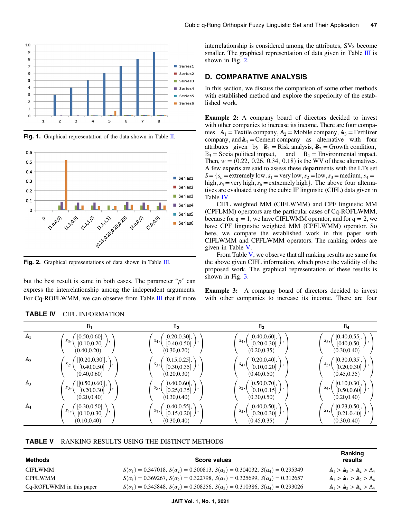<span id="page-10-0"></span>



Fig. 1. Graphical representation of the data shown in Table [II.](#page-9-0)

Fig. 2. Graphical representations of data shown in Table [III](#page-9-0).

but the best result is same in both cases. The parameter " $p$ " can express the interrelationship among the independent arguments. For Cq-ROFLWMM, we can observe from Table [III](#page-9-0) that if more interrelationship is considered among the attributes, SVs become smaller. The graphical representation of data given in Table [III](#page-9-0) is shown in Fig. 2.

# D. COMPARATIVE ANALYSIS

In this section, we discuss the comparison of some other methods with established method and explore the superiority of the established work.

Example 2: A company board of directors decided to invest with other companies to increase its income. There are four companies  $A_1$  = Textile company,  $A_2$  = Mobile company,  $A_3$  = Fertilizer company, and  $A_4$  = Cement company as alternative with four attributes given by  $B_1 =$  Risk analysis,  $B_2 =$  Growth condition,  $B_3 =$  Socia political impact, and  $B_4 =$  Environmental impact. and  $B_4$  = Environmental impact. Then,  $w = (0.22, 0.26, 0.34, 0.18)$  is the WV of these alternatives. A few experts are said to assess these departments with the LTs set  $S=\{s_0 =$  extremely low,  $s_1$  = very low,  $s_2$  = low,  $s_3$  = medium,  $s_4$  = high,  $s_5$  = very high,  $s_6$  = extxemely high}. The above four alternatives are evaluated using the cubic IF linguistic (CIFL) data given in Table IV.

CIFL weighted MM (CIFLWMM) and CPF linguistic MM (CPFLMM) operators are the particular cases of Cq-ROFLWMM, because for  $q = 1$ , we have CIFLWMM operator, and for  $q = 2$ , we have CPF linguistic weighted MM (CPFLWMM) operator. So here, we compare the established work in this paper with CIFLWMM and CPFLWMM operators. The ranking orders are given in Table V.

From Table V, we observe that all ranking results are same for the above given CIFL information, which prove the validity of the proposed work. The graphical representation of these results is shown in Fig. [3](#page-11-0).

Example 3: A company board of directors decided to invest with other companies to increase its income. There are four

|                | $B_1$            | B <sub>2</sub> | B <sub>3</sub> | $B_4$         |
|----------------|------------------|----------------|----------------|---------------|
| A <sub>1</sub> | [0.50, 0.60],    | [0.20, 0.30],  | [0.40, 0.60],  | [0.40, 0.55], |
|                | $S_3$ ,          | $S_4$ ,        | $S_4$ ,        | $S_5$ ,       |
|                | [0.10, 0.20]     | [0.40, 0.50]   | [0.20, 0.30]   | [040, 0.50]   |
|                | (0.40, 0.20)     | (0.30, 0.20)   | (0.20, 0.35)   | (0.30, 0.40)  |
| A <sub>2</sub> | $[0.20, 0.30]$ , | [0.15, 0.25],  | [0.20, 0.40],  | [0.30, 0.35], |
|                | $s_2,$           | $s_3,$         | $S_4$ ,        | $S_5$ ,       |
|                | [0.40, 0.50]     | [0.30, 0.35]   | [0.10, 0.20]   | [0.20, 0.30]  |
|                | (0.40, 0.60)     | (0.20, 0.30)   | (0.40, 0.50)   | (0.45, 0.35)  |
| $A_3$          | ([0.50, 0.60]],  | [0.40, 0.60],  | [0.50, 0.70],  | [0.10, 0.30], |
|                | $S_3,$           | $S_5$ ,        | $s_2,$         | $S_4$ ,       |
|                | [0.20, 0.30]     | [0.25, 0.35]   | [0.10, 0.15]   | [0.50, 0.60]  |
|                | (0.20, 0.40)     | (0.30, 0.40)   | (0.30, 0.50)   | (0.20, 0.40)  |
| A <sub>4</sub> | [0.30, 0.50],    | [0.40, 0.55],  | [0.40, 0.50],  | [0.23, 0.50], |
|                | $s_1,$           | $s_3,$         | $S_4$ ,        | $s5$ ,        |
|                | [0.10, 0.30]     | [0.15, 0.20]   | [0.20, 0.30]   | [0.21, 0.40]  |
|                | (0.10, 0.40)     | (0.30, 0.40)   | (0.45, 0.35)   | (0.30, 0.40)  |

| <b>TABLE IV</b><br><b>CIFL INFORMATION</b> |
|--------------------------------------------|
|--------------------------------------------|

| Methods                  | <b>Score values</b>                                                                                       | Ranking<br>results      |
|--------------------------|-----------------------------------------------------------------------------------------------------------|-------------------------|
| <b>CIFLWMM</b>           | $S(\alpha_1) = 0.347018$ , $S(\alpha_2) = 0.300813$ , $S(\alpha_3) = 0.304032$ , $S(\alpha_4) = 0.295349$ | $A_1 > A_2 > A_2 > A_4$ |
| <b>CPFLWMM</b>           | $S(\alpha_1) = 0.369267$ , $S(\alpha_2) = 0.322798$ , $S(\alpha_3) = 0.325699$ , $S(\alpha_4) = 0.312657$ | $A_1 > A_2 > A_2 > A_4$ |
| Cq-ROFLWMM in this paper | $S(\alpha_1) = 0.345848$ , $S(\alpha_2) = 0.308256$ , $S(\alpha_3) = 0.310386$ , $S(\alpha_4) = 0.293026$ | $A_1 > A_2 > A_2 > A_4$ |
|                          |                                                                                                           |                         |

#### JAIT Vol. 1, No. 1, 2021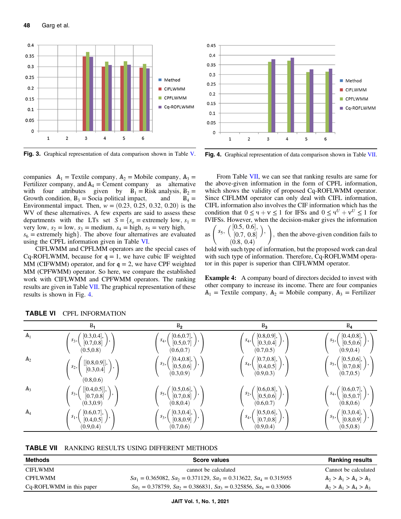<span id="page-11-0"></span>

Fig. 3. Graphical representation of data comparison shown in Table [V.](#page-10-0)

companies  $A_1$  = Textile company,  $A_2$  = Mobile company,  $A_3$  = Fertilizer company, and  $A_4$  = Cement company as alternative with four attributes given by  $B_1 =$  Risk analysis,  $B_2 =$  Growth condition,  $B_3 =$  Socia political impact, and  $B_4 =$ Growth condition,  $B_3$  = Socia political impact, Environmental impact. Then,  $w = (0.23, 0.25, 0.32, 0.20)$  is the WV of these alternatives. A few experts are said to assess these departments with the LTs set  $S = \{s_0 = \text{extremely low}, s_1 =$ very low,  $s_2 = \text{low}, s_3 = \text{medium}, s_4 = \text{high}, s_5 = \text{very high},$  $s_6$  = extremely high. The above four alternatives are evaluated using the CPFL information given in Table VI.

CIFLWMM and CPFLMM operators are the special cases of Cq-ROFLWMM, because for  $q = 1$ , we have cubic IF weighted MM (CIFWMM) operator, and for  $q = 2$ , we have CPF weighted MM (CPFWMM) operator. So here, we compare the established work with CIFLWMM and CPFWMM operators. The ranking results are given in Table VII. The graphical representation of these results is shown in Fig. 4.



Fig. 4. Graphical representation of data comparison shown in Table VII.

From Table VII, we can see that ranking results are same for the above-given information in the form of CPFL information, which shows the validity of proposed Cq-ROFLWMM operator. Since CIFLMM operator can only deal with CIFL information, CIFL information also involves the CIF information which has the condition that  $0 \leq \Psi + \Psi \leq 1$  for IFSs and  $0 \leq \Psi^U + \Psi^U \leq 1$  for IVIFSs. However, when the decision-maker gives the information

as  $s_5, \left( \begin{array}{cc} [0.5, 0.6], \\ [0.7, 0.8] \end{array} \right)$  $[0.7, 0.8]$ <br>  $(8, 0.4)$  $\setminus$ ;  $(0.8, 0.4)$  $\setminus$ ; then the above-given condition fails to

hold with such type of information, but the proposed work can deal with such type of information. Therefore, Cq-ROFLWMM operator in this paper is superior than CIFLWMM operator.

**Example 4:** A company board of directors decided to invest with other company to increase its income. There are four companies  $A_1$  = Textile company,  $A_2$  = Mobile company,  $A_3$  = Fertilizer

|                | $B_1$                                                                      | B <sub>2</sub>                                                                                                | B <sub>3</sub>                                                                     | $B_4$                                                                               |
|----------------|----------------------------------------------------------------------------|---------------------------------------------------------------------------------------------------------------|------------------------------------------------------------------------------------|-------------------------------------------------------------------------------------|
| A <sub>1</sub> | [0.3, 0.4],<br>$s_3,$<br>$[0.7, 0.8]$ $\bigg)$<br>(0.5, 0.8)               | $\begin{bmatrix} 0.6, 0.7 \end{bmatrix}$ , $\begin{bmatrix} 0.5, 0.7 \end{bmatrix}$ ,<br>$S_4,$<br>(0.6, 0.7) | $\begin{pmatrix} [0.8, 0.9], \\ [0.3, 0.4] \end{pmatrix},$<br>$S_4,$<br>(0.7, 0.5) | $[0.4, 0.8],$<br>$[0.5, 0.6]$<br>$s_5,$<br>(0.9, 0.4)                               |
| A <sub>2</sub> | $[[0.8, 0.9]],$<br>$[0.3, 0.4]$<br>$s_2$<br>(0.8, 0.6)                     | $\begin{pmatrix} [0.4, 0.8], \\ [0.5, 0.6] \end{pmatrix},$<br>$s_3,$<br>(0.3, 0.9)                            | $\begin{pmatrix} [0.7, 0.8], \\ [0.4, 0.5] \end{pmatrix},$<br>$S_4,$<br>(0.9, 0.3) | $\begin{bmatrix} [0.5, 0.6], \ [0.7, 0.8] \end{bmatrix}$<br>$s_5,$<br>(0.7, 0.5)    |
| A <sub>3</sub> | $[[0.4, 0.5]], \ (0.7, 0.8]$<br>$s_3,$<br>$\vert$ ,<br>(0.3, 0.9)          | $\left(s_5,\left(\begin{array}{c}[0.5,0.6],\\[0.7,0.8]\end{array}\right),\right)$<br>(0.8, 0.4)               | $\binom{[0.6, 0.8]}{[0.5, 0.6]},$<br>$s_2,$<br>(0.6, 0.7)                          | $\Big( \begin{array}{c} [0.6, 0.7], \\ [0.5, 0.7] \end{array} \Big),$<br>(0.8, 0.6) |
| A <sub>4</sub> | [0.6, 0.7],<br>$s_1,$<br>$[0.4, 0.5]$ $\left  \right\rangle$<br>(0.9, 0.4) | $\begin{pmatrix} [0.3, 0.4], \\ [0.8, 0.9] \end{pmatrix}$<br>$s_3,$<br>(0.7, 0.6)                             | $[0.5, 0.6],$<br>$[0.7, 0.8]$<br>$S_4,$<br>(0.9, 0.4)                              | $\begin{bmatrix} [0.3, 0.4], \ [0.8, 0.9] \end{bmatrix}$<br>$s_5,$<br>(0.5, 0.8)    |

# TABLE VI CPFL INFORMATION

| RANKING RESULTS USING DIFFERENT METHODS |
|-----------------------------------------|
|                                         |
|                                         |
|                                         |
|                                         |

| Methods                  | <b>Score values</b>                                                           | <b>Ranking results</b>  |
|--------------------------|-------------------------------------------------------------------------------|-------------------------|
| CIFLWMM                  | cannot be calculated                                                          | Cannot be calculated    |
| CPFLWMM                  | $Sa_1 = 0.365082$ , $Sa_2 = 0.371129$ , $Sa_3 = 0.313622$ , $Sa_4 = 0.315955$ | $A_2 > A_1 > A_4 > A_3$ |
| Cq-ROFLWMM in this paper | $Sa_1 = 0.378759$ , $Sa_2 = 0.386831$ , $Sa_3 = 0.325856$ , $Sa_4 = 0.33006$  | $A_2 > A_1 > A_4 > A_3$ |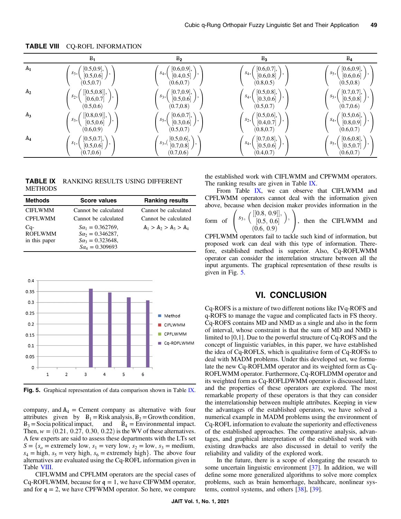|                | B <sub>1</sub>                                                                 | B <sub>2</sub>                                                               | B <sub>3</sub>                                        | $B_4$                                                                               |
|----------------|--------------------------------------------------------------------------------|------------------------------------------------------------------------------|-------------------------------------------------------|-------------------------------------------------------------------------------------|
| A <sub>1</sub> | $\begin{bmatrix} 0.5, 0.9 \\ 0.5, 0.6 \end{bmatrix}$ ,<br>$s_3,$<br>(0.5, 0.7) | [0.6, 0.9],<br>$S_4,$<br>[0.4, 0.5]<br>(0.6, 0.7)                            | [0.6, 0.7],<br>$S_4,$<br>[0.6, 0.8]<br>(0.8, 0.5)     | [0.6, 0.9],<br>$S_5$ ,<br>[0.6, 0.6]<br>(0.5, 0.8)                                  |
| A <sub>2</sub> | $[[0.5, 0.8]], \ \ [0.6, 0.7]$<br>$s_2$ ,<br>(0.5, 0.6)                        | [0.7, 0.9],<br>$s_3,$<br>[0.5, 0.6]<br>(0.7, 0.8)                            | [0.5, 0.8],<br>$S_4,$<br>[0.3, 0.6]<br>(0.5, 0.7)     | $\begin{pmatrix} [0.7, 0.7], \\ [0.5, 0.8] \end{pmatrix},$<br>$S_5$ ,<br>(0.7, 0.6) |
| $A_3$          | $[[0.8, 0.9]], \$ $[0.5, 0.6]$<br>$S_3,$<br>(0.6, 0.9)                         | [0.6, 0.7],<br>$s_5,$<br>[0.3, 0.6]<br>(0.5, 0.7)                            | [0.5, 0.6],<br>$s_2,$<br>$[0.4, 0.7]$ )<br>(0.8, 0.7) | $\begin{pmatrix} [0.5, 0.6],\ [0.8, 0.9] \end{pmatrix},$<br>$S_4,$<br>(0.6, 0.7)    |
| A <sub>4</sub> | [0.5, 0.7],<br>$s_1,$<br>[0.5, 0.6]<br>(0.7, 0.6)                              | $\left(s_3, \left(\frac{[0.5, 0.6]}{[0.7, 0.8]}\right)\right)$<br>(0.7, 0.6) | [0.7, 0.8],<br>$S_4,$<br>[0.5, 0.6]<br>(0.4, 0.7)     | [0.6, 0.8],<br>$s5$ ,<br>[0.5, 0.7]<br>(0.6, 0.7)                                   |

<span id="page-12-0"></span>TABLE VIII CQ-ROFL INFORMATION

TABLE IX RANKING RESULTS USING DIFFERENT **METHODS** 

| <b>Methods</b>                         | <b>Score values</b>                                                                                       | <b>Ranking results</b>  |
|----------------------------------------|-----------------------------------------------------------------------------------------------------------|-------------------------|
| <b>CIFLWMM</b>                         | Cannot be calculated                                                                                      | Cannot be calculated    |
| <b>CPFLWMM</b>                         | Cannot be calculated                                                                                      | Cannot be calculated    |
| Cq-<br><b>ROFLWMM</b><br>in this paper | $S\alpha_1 = 0.362769$ ,<br>$S\alpha_2 = 0.346287$ ,<br>$S\alpha_3 = 0.323648,$<br>$S\alpha_4 = 0.309693$ | $A_1 > A_2 > A_3 > A_4$ |



Fig. 5. Graphical representation of data comparison shown in Table IX.

company, and  $A_4$  = Cement company as alternative with four attributes given by  $B_1 = Risk$  analysis,  $B_2 = Growth$  condition,  $B_3$  = Socia political impact, and  $B_4$  = Environmental impact. Then,  $w = (0.21, 0.27, 0.30, 0.22)$  is the WV of these alternatives. A few experts are said to assess these departments with the LTs set  $S = \{s_0 = \text{extremely low}, s_1 = \text{very low}, s_2 = \text{low}, s_3 = \text{medium},$  $s_4$  = high,  $s_5$  = very high,  $s_6$  = extremely high}. The above four alternatives are evaluated using the Cq-ROFL information given in Table VIII.

CIFLWMM and CPFLMM operators are the special cases of Cq-ROFLWMM, because for  $q = 1$ , we have CIFWMM operator, and for  $q = 2$ , we have CPFWMM operator. So here, we compare the established work with CIFLWMM and CPFWMM operators. The ranking results are given in Table IX.

From Table IX, we can observe that CIFLWMM and CPFLWMM operators cannot deal with the information given above, because when decision maker provides information in the  $\prime$ 

form of 
$$
\begin{pmatrix} s_3, \begin{pmatrix} [[0.8, 0.9]], \\ [0.5, 0.6] \end{pmatrix}, \\ (0.6, 0.9) \end{pmatrix}
$$
, then the CIFLWMM and  
CPFLWMM operators fail to tackle such kind of information, but

proposed work can deal with this type of information. Therefore, established method is superior. Also, Cq-ROFLWMM operator can consider the interrelation structure between all the input arguments. The graphical representation of these results is given in Fig. 5.

# VI. CONCLUSION

Cq-ROFS is a mixture of two different notions like IVq-ROFS and q-ROFS to manage the vague and complicated facts in FS theory. Cq-ROFS contains MD and NMD as a single and also in the form of interval, whose constraint is that the sum of MD and NMD is limited to [0,1]. Due to the powerful structure of Cq-ROFS and the concept of linguistic variables, in this paper, we have established the idea of Cq-ROFLS, which is qualitative form of Cq-ROFSs to deal with MADM problems. Under this developed set, we formulate the new Cq-ROFLMM operator and its weighted form as Cq-ROFLWMM operator. Furthermore, Cq-ROFLDMM operator and its weighted form as Cq-ROFLDWMM operator is discussed later, and the properties of these operators are explored. The most remarkable property of these operators is that they can consider the interrelationship between multiple attributes. Keeping in view the advantages of the established operators, we have solved a numerical example in MADM problems using the environment of Cq-ROFL information to evaluate the superiority and effectiveness of the established approaches. The comparative analysis, advantages, and graphical interpretation of the established work with existing drawbacks are also discussed in detail to verify the reliability and validity of the explored work.

In the future, there is a scope of elongating the research to some uncertain linguistic environment [[37\]](#page-13-0). In addition, we will define some more generalized algorithms to solve more complex problems, such as brain hemorrhage, healthcare, nonlinear systems, control systems, and others [\[38](#page-13-0)], [[39\]](#page-13-0).